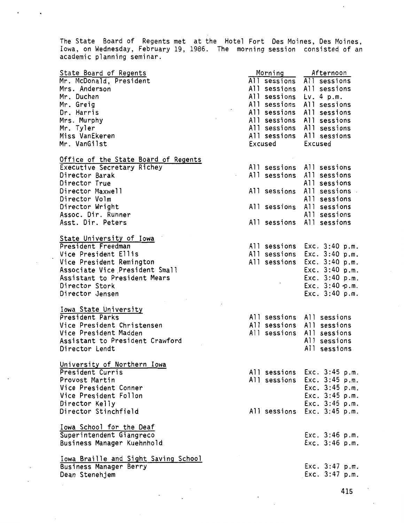The State Board of Regents met at the Hotel Fort Des Moines, Des Moines, Iowa, on Wednesday, February 19, 1986. The morning session consisted of an academic planning seminar.

| State Board of Regents<br>Mr. McDonald, President<br>Mrs. Anderson<br>Mr. Duchen<br>Mr. Greig<br>Dr. Harris<br>Mrs. Murphy<br>Mr. Tyler<br>Miss VanEkeren<br>Mr. VanGilst | Morning<br>All sessions<br>All sessions<br>All sessions<br>All sessions<br>All sessions All sessions<br>All sessions All sessions<br>All sessions All sessions<br>All sessions All sessions<br>Excused | Afternoon<br>All sessions<br>All sessions<br>Lv. 4 p.m.<br>All sessions<br>Excused |
|---------------------------------------------------------------------------------------------------------------------------------------------------------------------------|--------------------------------------------------------------------------------------------------------------------------------------------------------------------------------------------------------|------------------------------------------------------------------------------------|
| Office of the State Board of Regents                                                                                                                                      |                                                                                                                                                                                                        |                                                                                    |
| Executive Secretary Richey                                                                                                                                                | All sessions All sessions                                                                                                                                                                              |                                                                                    |
| Director Barak                                                                                                                                                            | All sessions                                                                                                                                                                                           | All sessions                                                                       |
| Director True                                                                                                                                                             |                                                                                                                                                                                                        | All sessions                                                                       |
| Director Maxwell                                                                                                                                                          | All sessions                                                                                                                                                                                           | All sessions .                                                                     |
| Director Volm                                                                                                                                                             |                                                                                                                                                                                                        | All sessions<br>All sessions                                                       |
| Director Wright<br>Assoc. Dir. Runner                                                                                                                                     | All sessions                                                                                                                                                                                           | All sessions                                                                       |
| Asst. Dir. Peters                                                                                                                                                         | All sessions                                                                                                                                                                                           | All sessions                                                                       |
|                                                                                                                                                                           |                                                                                                                                                                                                        |                                                                                    |
| State University of Iowa                                                                                                                                                  |                                                                                                                                                                                                        |                                                                                    |
| President Freedman                                                                                                                                                        |                                                                                                                                                                                                        | All sessions Exc. 3:40 p.m.                                                        |
| Vice President Ellis                                                                                                                                                      | All sessions                                                                                                                                                                                           | Exc. 3:40 p.m.                                                                     |
| Vice President Remington                                                                                                                                                  | All sessions                                                                                                                                                                                           | Exc. 3:40 p.m.                                                                     |
| Associate Vice President Small                                                                                                                                            |                                                                                                                                                                                                        | Exc. 3:40 p.m.                                                                     |
| Assistant to President Mears                                                                                                                                              |                                                                                                                                                                                                        | Exc. 3:40 p.m.                                                                     |
| Director Stork                                                                                                                                                            |                                                                                                                                                                                                        | Exc. 3:40 p.m.                                                                     |
| Director Jensen                                                                                                                                                           |                                                                                                                                                                                                        | Exc. 3:40 p.m.                                                                     |
|                                                                                                                                                                           |                                                                                                                                                                                                        |                                                                                    |
| Iowa State University                                                                                                                                                     |                                                                                                                                                                                                        |                                                                                    |
| President Parks                                                                                                                                                           | All sessions All sessions                                                                                                                                                                              |                                                                                    |
| Vice President Christensen                                                                                                                                                | All sessions                                                                                                                                                                                           | All sessions                                                                       |
| Vice President Madden                                                                                                                                                     | All sessions                                                                                                                                                                                           | All sessions                                                                       |
| Assistant to President Crawford                                                                                                                                           |                                                                                                                                                                                                        | All sessions                                                                       |
| Director Lendt                                                                                                                                                            |                                                                                                                                                                                                        | All sessions                                                                       |
| University of Northern Iowa                                                                                                                                               |                                                                                                                                                                                                        |                                                                                    |
| President Curris                                                                                                                                                          |                                                                                                                                                                                                        | All sessions Exc. 3:45 p.m.                                                        |
| Provost Martin                                                                                                                                                            |                                                                                                                                                                                                        | All sessions Exc. 3:45 p.m.                                                        |
| Vice President Conner                                                                                                                                                     |                                                                                                                                                                                                        | Exc. 3:45 p.m.                                                                     |
| Vice President Follon                                                                                                                                                     |                                                                                                                                                                                                        | Exc. 3:45 p.m.                                                                     |
| Director Kelly                                                                                                                                                            |                                                                                                                                                                                                        | Exc. 3:45 p.m.                                                                     |
| Director Stinchfield                                                                                                                                                      |                                                                                                                                                                                                        | All sessions Exc. 3:45 p.m.                                                        |
|                                                                                                                                                                           |                                                                                                                                                                                                        |                                                                                    |
| Iowa School for the Deaf                                                                                                                                                  |                                                                                                                                                                                                        |                                                                                    |
| Superintendent Giangreco                                                                                                                                                  |                                                                                                                                                                                                        | Exc. 3:46 p.m.                                                                     |
| Business Manager Kuehnhold                                                                                                                                                |                                                                                                                                                                                                        | Exc. 3:46 p.m.                                                                     |
| Iowa Braille and Sight Saving School                                                                                                                                      |                                                                                                                                                                                                        |                                                                                    |
| Business Manager Berry                                                                                                                                                    |                                                                                                                                                                                                        | Exc. $3:47$ p.m.                                                                   |
| Dean Stenehjem                                                                                                                                                            |                                                                                                                                                                                                        | Exc. 3:47 p.m.                                                                     |
|                                                                                                                                                                           |                                                                                                                                                                                                        |                                                                                    |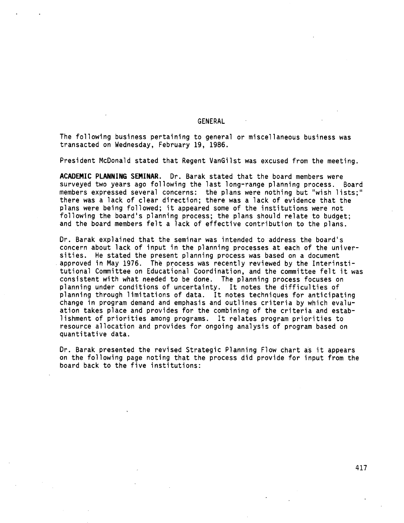#### GENERAL

The following business pertaining to general or miscellaneous business was transacted on Wednesday, February 19, 1986.

President McDonald stated that Regent VanGilst was excused from the meeting.

**ACADEMIC PLANNING SEMINAR.** Dr. Barak stated that the board members were surveyed two years ago following the last long-range planning process. Board members expressed several concerns: the plans were nothing but "wish lists;" there was a lack of clear direction; there was a lack of evidence that the plans were being followed; it appeared some of the institutions were not following the board's planning process; the plans should relate to budget; and the board members felt a lack of effective contribution to the plans.

Dr. Barak explained that the seminar was intended to address the board's concern about lack of input in the planning processes at each of the univer-<br>sities. He stated the present planning process was based on a document approved in May 1976. The process was recently reviewed by the Interinstitutional Committee on Educational Coordination, and the committee felt it was consistent with what needed to be done. The planning process focuses on planning under conditions of uncertainty. It notes the difficulties of planning through limitations of data. It notes techniques for anticipating change in program demand and emphasis and outlines criteria by which evaluation takes place and provides for the combining of the criteria and establishment of priorities among programs. It relates program priorities to resource allocation and provides for ongoing analysis of program based on quantitative data.

Dr. Barak presented the revised Strategic Planning Flow chart as it appears on the following page noting that the process did provide for input from the board back to the five institutions: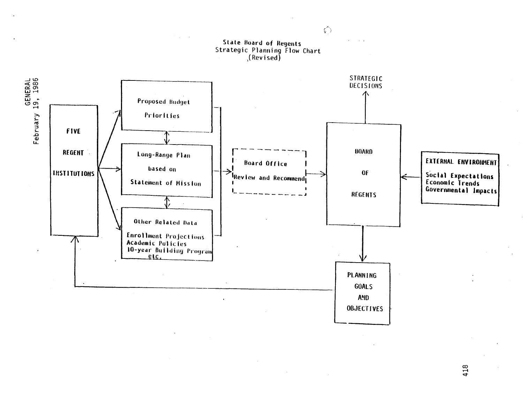

∞<br>⊄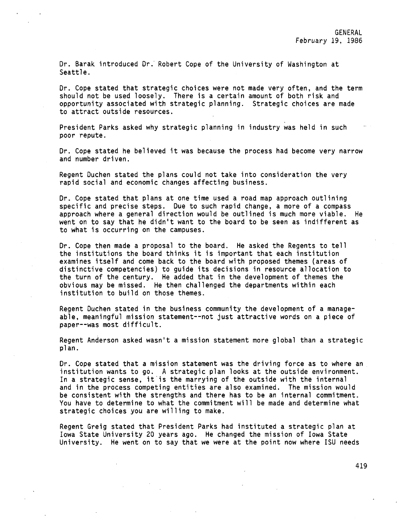Dr. Barak introduced Dr. Robert Cope of the University of Washington at Seattle.

Dr. Cope stated that strategic choices were not made very often, and the term should not be used loosely. There is a certain amount of both risk and opportunity associated with strategic planning. Strategic choices are made to attract outside resources.

President Parks asked why strategic planning in industry was held in such poor repute.

Or. Cope stated he believed it was because the process had become very narrow and number driven.

Regent Ouchen stated the plans could not take into consideration the very rapid social and economic changes affecting business.

Or. Cope stated that plans at one time used a road map approach outlining specific and precise steps. Due to such rapid change, a more of a compass approach where a general direction would be outlined is much more viable. He went on to say that he didn't want to the board to be seen as indifferent as to what is occurring on the campuses.

Dr. Cope then made a proposal to the board. He asked the Regents to tell the institutions the board thinks it is important that each institution examines itself and come back to the board with proposed themes (areas of distinctive competencies) to guide its decisions in resaurce allocation to the turn of the century. He added that in the development of themes the obvious may be missed. He then challenged the departments within each institution to build on those themes.

Regent Duchen stated in the business community the development of a manageable, meaningful mission statement--not just attractive words on a piece of paper--was most difficult.

Regent Anderson asked wasn't a mission statement more global than a strategic plan.

Dr. Cope stated that a mission statement was the driving force as to where an institution wants to go. A strategic plan looks at the outside environment. In a strategic sense, it is the marrying of the outside with the internal and in the process competing entities are also examined. The mission would be consistent with the strengths and there has to be an internal commitment. You have to determine to what the commitment will be made and determine what strategic choices you are willing to make.

Regent Greig stated that President Parks had instituted a strategic plan at Iowa State University 20 years ago. He changed the mission of Iowa State University. He went on to say that we were at the point now where ISU needs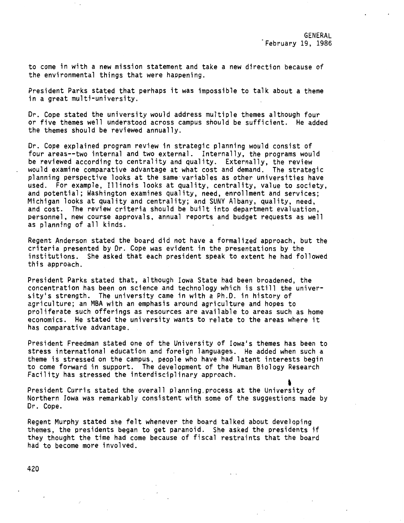to come in with a new mission statement and take a new direction because of the environmental things that were happening.

President Parks stated that perhaps it was impossible to talk about a theme in a great multi-university.

Dr. Cope stated the university would address multiple themes although four or five themes well understood across campus should be sufficient. He added the themes should be reviewed annually.

Dr. Cope explained program review in strategic planning would consist of four areas--two internal and two external. Internally, the programs would be reviewed according to centrality and quality. Externally, the review would examine comparative advantage at what cost and demand. The strategic planning perspective looks at the same·variables as other universities have used. For example, Illinois looks at quality, centrality, value to society, and potential; Washington examines quality, need, enrollment and services; Michigan looks at quality and centrality; and SUNY Albany, quality, need, and cost. The review criteria should be built into department evaluation, personnel, new course approvals, annual reports and budget requests as well as planning of all kinds.

Regent Anderson stated the board did not have a formalized approach, but the criteria presented by Dr. Cope was evident in the presentations by the institutions. She asked that each president speak to extent he had followed this approach.

President Parks stated that, although Iowa State had been broadened, the concentration has been on science and technology which is still the univer sity's strength. The university came in with a Ph.D. in history of agriculture; an MBA with an emphasis around agriculture and hopes to proliferate such offerings as resources are available to areas such as home economics. He stated the university wants to relate to the areas where it has comparative advantage.

President Freedman stated one of the University of Iowa's themes has been to stress international education and foreign languages. He added when such a theme is stressed on the campus, people who have had latent interests begin to come forward in support. The development of the Human Biology Research Facility has stressed the interdisciplinary approach.

President Curris stated the overall planning process at the University of Northern Iowa was remarkably consistent with some of the suggestions made by Dr. Cope.

Regent Murphy stated she felt whenever the board talked about developing themes, the presidents began to get paranoid. She asked the presidents if they thought the time had come because of fiscal restraints that the board had to become more involved.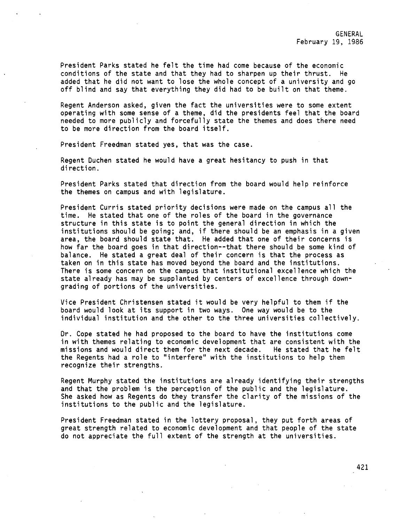President Parks stated he felt the time had come because of the economic conditions of the state and that they had to sharpen up their thrust. He added that he did not want to lose the whole concept of a university and go off blind and say that everything they did had to be built on that theme.

Regent Anderson asked, given the fact the universities were to some extent operating with some sense of a theme, did the presidents feel that the board needed to more publicly and forcefully state the themes and does there need to be more direction from the board itself.

President Freedman stated yes, that was the case.

Regent Duchen stated he would have a great hesitancy to push in that direction.

President Parks stated that direction from the board would help reinforce the themes on campus and with legislature.

President Curris stated priority decisions were made on the campus all the time. He stated that one of the roles of the board in the governance structure in this state is to point the general direction in which the institutions should be going; and, if there should be an emphasis in a given **area,** the board should state that. He added that one of their concerns is how far the board goes in that direction--that there should be some kind of balance. He stated a great deal of their concern is that the process as taken on in this state has moved beyond the board and the institutions. There is some concern on the campus that institutional excel1ence which the state already has may be supplanted by centers of excellence through downgrading of portions of the universities.

Vice President Christensen stated it would be very helpful to them if the board would look at its support in two ways. One way would be to the individual institution and the other to the three universities collectively.

Dr. Cope stated he had proposed to the board to have the institutions come in with themes relating to economic development that are consistent with the missions and would direct them for the next decade. He stated that he felt missions and would direct them for the next decade. the Regents had a role to ''interfere" with the institutions to help them recognize their strengths.

Regent Murphy stated the institutions are already identifying their strengths and that the problem is the perception of the public and the legislature. She asked how as Regents do they transfer the clarity of the missions of the institutions to the public and the legislature.

President Freedman stated in the lottery proposal, they put forth areas of great strength related to economic development and that people of the state do not appreciate the full extent of the strength at the universities.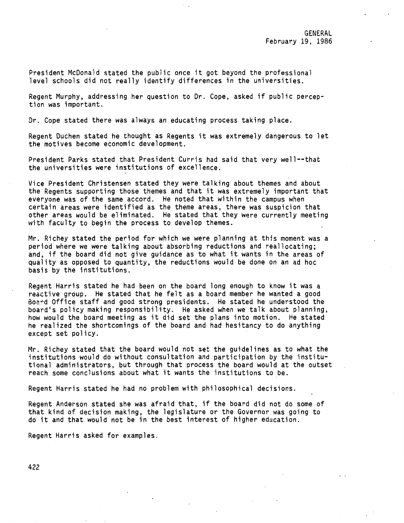President McDonald stated the public once it got beyond the professional level schools did not really identify differences in the universities.

Regent Murphy, addressing her question to Dr. Cope, asked if public perception was important.

Dr. Cope stated there was always an educating process taking place.

Regent Duchen stated he thought as Regents it was extremely dangerous to let the motives become economic development.

President Parks stated that President Curris had said that very well--that the universities were institutions of excellence.

Vice President Christensen stated they were talking about themes and about the Regents supporting those themes and that it was extremely important that everyone was of the same accord. He noted that within the campus when certain areas were identified as the theme areas, there was suspicion that other areas would be eliminated. He stated that they were currently meeting with faculty to begin the process to develop themes.

Mr. Richey stated the period for which we were planning at this moment was a period where we were talking about absorbing reductions and reallocating; and, if the board did not give guidance as to what it wants in the areas of quality as opposed to quantity, the reductions would be done on an ad hoc basis by the institutions.

Regent Harris stated he had been on the board long enough to know it was a reactive group. He stated that he felt as a board member he wanted a good Boa~d Office staff and good strong presidents. He stated he understood the board's policy making responsibility. He asked when we talk about planning, how would the board meeting as it did set the plans into motion. He stated he realized the shortcomings of the board and had hesitancy to do anything except set policy.

Mr. Richey stated that the board would not set the guidelines as to what the institutions would do without consultation and participation by the institutional administrators, but through that process the board would at the outset reach some conclusions about what it wants the institutions to be.

Regent Harris stated he had no problem with philosophical decisions.

Regent Anderson stated she was afraid that, if the board did not do some of that kind of decision making, the legislature or the Governor was going to do it and that would not be in the best interest of higher education.

Regent Harris asked for examples.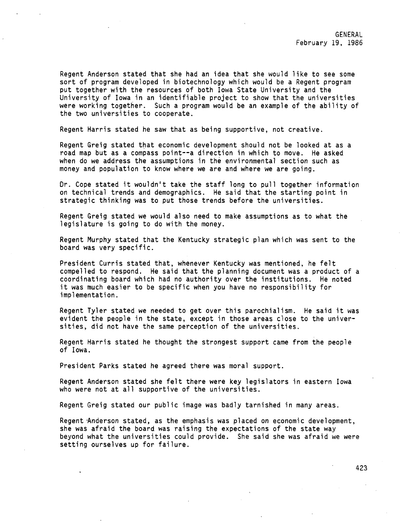Regent Anderson stated that she had an idea that she would like to see some sort of program developed in biotechnology which would be a Regent program put together with the resources of both Iowa State University and the University of Iowa in an identifiable project to show that the universities were working together. Such a program would be an example of the ability of the two universities to cooperate.

Regent Harris stated he saw that as being supportive, not creative.

Regent Greig stated that economic development should not be looked at as a road map but as a compass point--a direction in which to move. He asked when do we address the assumptions in the environmental section such as money and population to know where we are and where we are going.

Dr. Cope stated it wouldn't take the staff long to pull together information on technical trends and demographics. He said that the starting point in strategic thinking was to put those trends before the universities.

Regent Greig stated we would also need to make assumptions as to what the legislature is going to do with the money.

Regent Murphy stated that the Kentucky strategic plan which was sent to the board was very specific.

President Curris stated that, whenever Kentucky was mentioned, he felt compelled to respond. He said that the planning document was a product of a coordinating board which had no authority over the institutions. He noted it was much easier to be specific when you have no responsibility for implementation.

Regent Tyler stated we needed to get over this parochialism. He said it was evident the people in the state, except in those areas close to the universities, did not have the same perception of the universities.

Regent Harris stated he thought the strongest support came from the people of Iowa.

President Parks stated he agreed there was moral support.

Regent Anderson stated she felt there were key legislators in eastern Iowa who were not at all supportive of the universities.

Regent Greig stated our public image was badly tarnished in many areas.

Regent Anderson stated, as the emphasis was placed on economic development, she was afraid the board was raising the expectations of the state way beyond what the universities could provide. She said she was afraid we were setting ourselves up for failure.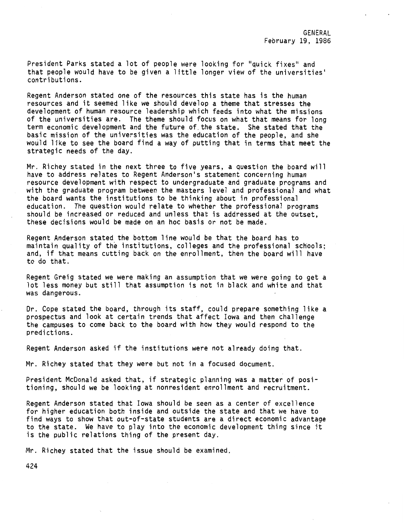President Parks stated a lot of people were looking for "quick fixes" and that people would have to be given a little longer view of the universities• contributions.

Regent Anderson stated one of the resources this state has is the human resources and it seemed like we should develop a theme that stresses the development of human resource leadership which feeds into what the missions of the universities are. The theme should focus on what that means for long term economic development and the future of. the state. She stated that the basic mission of the universities was the education of the people, and she would like to see the board find a way of putting that in terms that meet the strategic needs of the day.

Mr. Richey stated in the next three to five years, a question the board will have to address relates to Regent Anderson's statement concerning human resource development with respect to undergraduate and graduate programs and with the graduate program between the masters level and professional and what the board wants the institutions to be thinking about in professional education. The question would relate to whether the professional programs should be increased or reduced and unless that is addressed at the outset, these decisions would be made on an hoc basis or not be made.

Regent Anderson stated the bottom line would be that the board has to maintain quality of the institutions, colleges and the professional schools; and, if that means cutting back on the enrollment, then the board will have to do that.

Regent Greig stated we were making an assumption that we were going to get a lot less money but still that assumption is not in black and white and that was dangerous.

Dr. Cope stated the board, through its staff, could prepare something like a prospectus and look at certain trends that affect Iowa and then challenge the campuses to come back to the board with how they would respond to the predictions.

Regent Anderson asked if the institutions were not already doing that.

Mr. Richey stated that they were but not in a focused document.

President McDonald asked that, if strategic planning was a matter of positioning, should we be looking at nonresident enrollment and recruitment.

Regent Anderson stated that Iowa should be seen as a center of excellence for higher education both inside and outside the state and that we have to find ways to show that out-of-state students are a direct economic advantage to the state. We have to play into the economic development thing since it is the public relations thing of the present day.

Mr. Richey stated that the issue should be examined.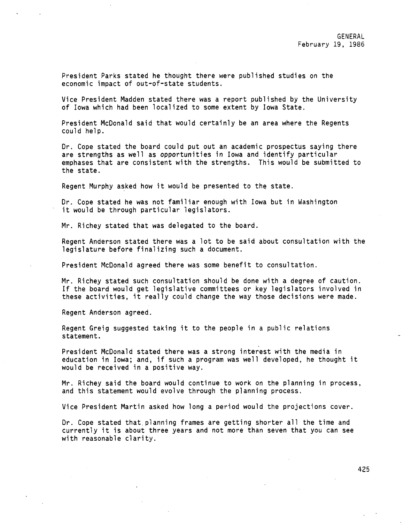President Parks stated he thought there were published studies on the economic impact of out-of-state students.

Vice President Madden stated there was a report published by the University of Iowa which had been localized to some extent by Iowa State.

President McDonald said that would certainly be an area where the Regents could help.

Dr. Cope stated the board could put out an academic prospectus saying there are strengths as well as opportunities in Iowa and identify particular emphases that are consistent with the strengths. This would be submitted to the state.

Regent Murphy asked how it would be presented to the state.

Dr. Cope stated he was not familiar enough with Iowa but in Washington it would be through particular legislators.

Mr. Richey stated that was delegated to the board.

Regent Anderson stated there was a lot to be said about consultation with the legislature before finalizing such a document.

President McDonald agreed there was some benefit to consultation.

Mr. Richey stated such consultation should be done with a degree of caution. If the board would get legislative committees or key legislators involved in these activities, it really could change the way those decisions were made.

Regent Anderson agreed.

Regent Greig suggested taking it to the people in a public relations statement.

President McDonald stated there was a strong interest with the media in education in Iowa; and, if such a program was well developed, he thought it would be received in a positive way.

Mr. Richey said the board would continue to work on the planning in process, and this statement would evolve through the planning process.

Vice President Martin asked how long a period would the projections cover.

Dr. Cope stated that.planning frames are getting shorter all the time and currently it is about three years and not more than seven that you can see with reasonable clarity.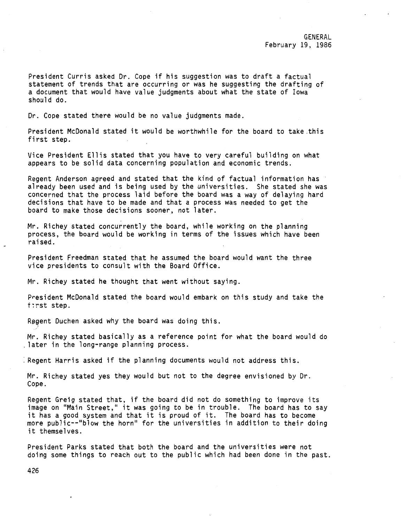GENERAL February 19, 1986

President Curris asked Dr. Cope if his suggestion was to draft a factual statement of trends that are occurring or was he suggesting the drafting of a document that would have value judgments about what the state of Iowa should do.

Dr. Cope stated there would be no value judgments made.

President McDonald stated it would be worthwhile for the board to take .this first step.

Vice President Ellis stated that you have to very careful building on what appears to be solid data concerning population and economic trends.

Regent Anderson agreed and stated that the kind of factual information has already been used and is being used by the universities. She stated she was concerned that the process laid before the board was a way of delaying hard decisions that have to be made and that a process was needed to get the board to make those decisions sooner, not later.

Mr. Richey stated concurrently the board, while working on the planning process, the board would be working in terms of the issues which have been raised.

President Freedman stated that he assumed the board would want the three vice presidents to consult with the Board Office.

Mr. Richey stated he thought that went without saying.

President McDonald stated the board would embark on this study and take the t:rst step.

Regent Duchen asked why the board was doing this.

Mr. Richey stated basically as a reference point for what the board would do .<br>.later in the long-range planning process.

: Regent Harris asked if the planning documents would not address this.

Mr. Richey stated yes they would but not to the degree envisioned by Dr. Cope.

Regent Greig stated that, if the board did not do something to improve its image on "Main Street," it was going to be in trouble. The board has to say it has a good system and that it is proud of it. The board has to become more public--"blow the horn" for the universities in addition to their doing it themselves.

President Parks stated that both the board and the universities were not doing some things to reach out to the public which had been done in the past.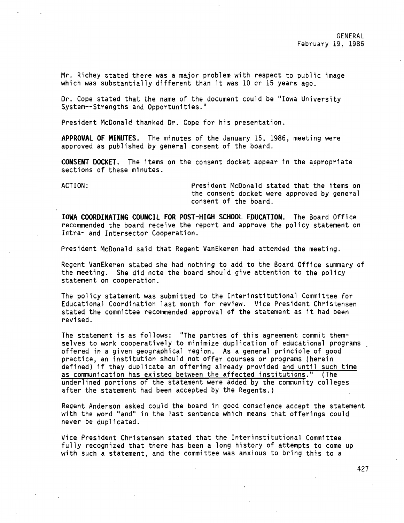Mr. Richey stated there was a major problem with respect to public image which was substantially different than it was 10 or 15 years ago.

Dr. Cope stated that the name of the document could be "Iowa University System--Strengths and Opportunities."

President McDonald thanked Dr. Cope for his presentation.

**APPROVAL OF MINUTES.** The minutes of the January 15, 1986, meeting were approved as published by general consent of the board.

**CONSENT DOCKET.** The items on the consent docket appear in the appropriate sections of these minutes.

ACTION: President McDonald stated that the items on the consent docket were approved by general consent of the board.

**IOWA COORDINATING COUNCIL FOR POST-HIGH SCHOOL EDUCATION.** The Board Office recommended the board receive the report and approve the policy statement on Intra- and Intersector Cooperation.

President McDonald said that Regent VanEkeren had attended the meeting.

Regent VanEkeren stated she had nothing to add to the Board Office summary of the meeting. She did note the board should give attention to the policy statement on cooperation.

The policy statement was submitted to the Interinstitutional Committee for Educational Coordination last month for review. Vice President Christensen stated the committee recommended approval of the statement as it had been revised.

The statement is as follows: "The parties of this agreement commit themselves to work cooperatively to minimize duplication of educational programs offered in a given geographical region. As a general principle of good practice, an institution should not offer courses or programs (herein defined) if they duplicate an offering already provided and until such time as communication has existed between the affected institutions." (The underlined portions of the statement were added by the community colleges after the statement had been accepted by the Regents.)

Regent Anderson asked could the board in good conscience accept the statement with the word "and" in the last sentence which means that offerings could never be duplicated.

Vice President Christensen stated that the Interinstitutional Committee fully recognized that there has been a long history of attempts to come up with such a statement, and the committee was anxious to bring this to a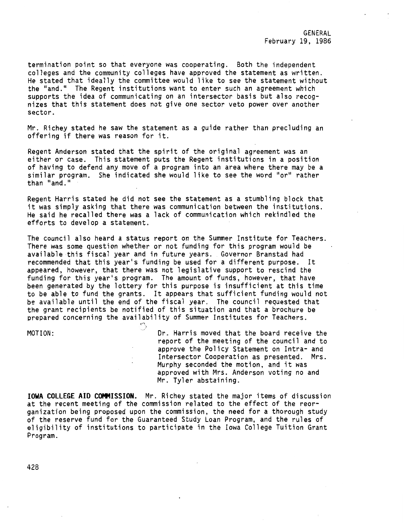termination point so that everyone was cooperating. Both the independent colleges and the community colleges have approved the statement as written. He stated that ideally the committee would like to see the statement without the "and." The Regent institutions want to enter such an agreement which supports the idea of communicating on an intersector basis but also recognizes that this statement does not give one sector veto power over another sector.

Mr. Richey stated he saw the statement as a guide rather than precluding an offering if there was reason for it.

Regent Anderson stated that the spirit of the original agreement was an either or case. This statement puts the Regent institutions in a position of having to defend any move of a program into an area where there may be a similar program. She indicated she would like to see the word "or" rather than  $"$  and."

Regent Harris stated he did not see the statement as a stumbling block that it was simply asking that there was communication between the institutions. He said he recalled there was a lack of communication which rekindled the efforts to develop a statement.

The council also heard a status report on the Summer Institute for Teachers. There was some question whether or not funding for this program would be available this fiscal year and in future years. Governor Branstad had recommended that this year's funding be used for a different purpose. It appeared, however, that there was not legislative support to rescind the funding for this year's program. The amount of funds, however, that have been generated by the lottery for this purpose is insufficient at this time to be able to fund the grants. It appears that sufficient funding would not be available until the end of the fiscal year. The council requested that the grant recipients be notified of this situation and that a brochure be prepared concerning the availability of Summer Institutes for Teachers.

<'' ;,

MOTION:

Dr. Harris moved that the board receive the report of the meeting of the council and to approve the Policy Statement on Intra- and Intersector Cooperation as presented. Mrs. Murphy seconded the motion, and it was approved with Mrs. Anderson voting no and Mr. Tyler abstaining.

**IOWA COLLEGE AID COMMISSION.** Mr. Richey stated the major items of discussion at the recent meeting of the commission related to the effect of the reorganization being proposed upon the commission, the need for a thorough study of the reserve fund for the Guaranteed Study Loan Program, and the rules of eligibility of institutions to participate in the Iowa College Tuition Grant Program.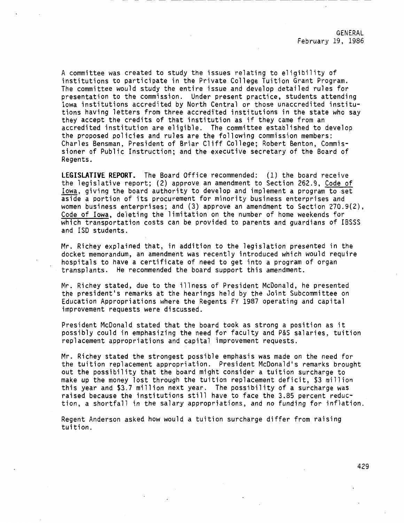A committee was created to study the issues relating to eligibility of institutions to participate in the Private College Tuition Grant Program. The committee would study the entire issue and develop detailed rules for presentation to the commission. Under present practice, students attending Iowa institutions accredited by North Central or those unaccredited institutions having letters from three accredited institutions in the state who say they accept the credits of that institution as if they came from an accredited institution are eligible. The committee established to develop the proposed policies and rules are the following commission members: Charles Bensman, President of Briar Cliff College; Robert Benton, Commissioner of Public Instruction; and the executive secretary of the Board of Regents.

**LEGISLATIVE REPORT.** The Board Office recommended: (1) the board receive the legislative report; (2) approve an amendment to Section 262.9, Code of Iowa, giving the board authority to develop and implement a program to .set aside a portion of its procurement for minority business enterprises and women business enterprises; and (3) approve an amendment to Section 270.9(2), Code of Iowa, deleting the limitation on the number of home weekends for which transportation costs can be provided to parents and guardians of IBSSS and ISO students.

Mr. Richey explained that, in addition to the legislation presented in the docket memorandum, an amendment was recently introduced which would require hospitals to have a certificate of need to get into a program of organ transplants. He recommended the board support this amendment.

Mr. Richey stated, due to the illness of President McDonald, he presented the president's remarks at the hearings held by the Joint Subcommittee on Education Appropriations where the Regents FY 1987 operating and capital improvement requests were discussed.

President McDonald stated that the board took as strong a position as it possibly could in emphasizing the need for faculty and P&S salaries, tuition replacement appropriations and capital improvement requests.

Mr. Richey stated the strongest possible emphasis was made on the need for the tuition replacement appropriation. President McDonald's remarks brought out the possibility that the board might consider a tuition surcharge to make up the money lost through the tuition replacement deficit, \$3 million this year and \$3.7 million next year. The possibility of a surcharge was raised because the institutions still have to face the 3.85 percent reduction, a shortfall in the salary appropriations, and no funding for inflation.

Regent Anderson asked how would a tuition surcharge differ from raising tuition.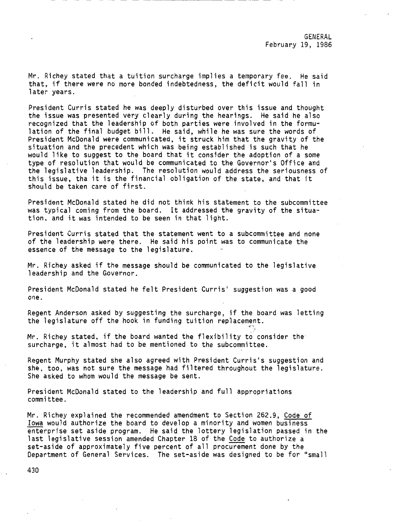GENERAL February 19, 1986

Mr. Richey stated that a tuition surcharge implies a temporary fee. He said that, if there were no more bonded indebtedness, the deficit would fall in later years.

President Curris stated he was deeply disturbed over this issue and thought the issue was presented very clearly during the hearings. He said he also recognized that the leadership of both parties were involved in the formulation of the final budget bill. He said, while he was sure the words of President McDonald were communicated, it struck him that the gravity of the situation and the precedent which was being established is such that he would like to suggest to the board that it consider the adoption of a some type of resolution that would be communicated to the Governor's Office and the legislative leadership. The resolution would address the seriousness of this issue, tha it is the financial obligation of the state, and that it should be taken care of first.

President McDonald stated he did not think his statement to the subcommittee was typical coming from the board. It addressed the gravity of the situation. and it was intended to be seen in that light.

President Curris stated that the statement went to a subcommittee and none of the leadership were there. He said his point was to communicate the essence of the message to the legislature.

Mr. Richey asked if the message should be communicated to the legislative leadership and the Governor.

President McDonald stated he felt President Curris' suggestion was a good one.

Regent Anderson asked by suggesting the surcharge, if the board was letting the legislature off the hook in funding tuition replacement.

<''

Mr. Richey stated, if the board wanted the flexibility to consider the surcharge, it almost had to be mentioned to the subcommittee.

Regent Murphy stated she also agreed with President Curris's suggestion and she, too, was not sure the message had filtered throughout the legislature. She asked to whom would the message be sent.

President McDonald stated to the leadership and full appropriations committee.

Mr. Richey explained the recommended amendment to Section 262.9, Code of Iowa would authorize the board to develop a minority and women business enterprise set aside program. He said the lottery legislation passed in the last legislative session amended Chapter 18 of the Code to authorize a set-aside of approximately five percent of all procurement done by the Department of General Services. The set-aside was designed to be for "small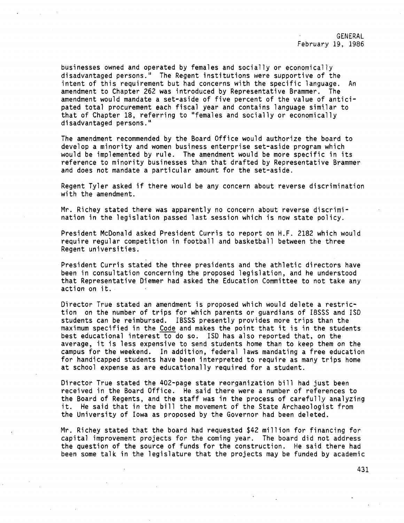businesses owned and operated by females and socially or economically disadvantaged persons." The Regent institutions were supportive of the intent of this requirement but had concerns with the specific language. An amendment to Chapter 262 was introduced by Representative Brammer. The amendment would mandate a set-aside of five percent of the value of anticipated total procurement each fiscal year and contains language similar to that of Chapter 18, referring to "females and socially or economically disadvantaged persons."

The amendment recommended by the Board Office would authorize the board to develop a minority and women business enterprise set-aside program which would be implemented by rule. The amendment would be more specific in its reference to minority businesses than that drafted by Representative Brammer and does not mandate a particular amount for the set-aside.

Regent Tyler asked if there would be any concern about reverse discrimination with the amendment.

Mr. Richey stated there was apparently no concern about reverse discrimination in the legislation passed last session which is now state policy.

President McDonald asked President Curris to report on H.F. 2182 which would require regular competition in football and basketball between the three Regent universities.

President Curris stated the three presidents and the athletic directors have been in consultation concerning the proposed legislation, and he understood that Representative Diemer had asked the Education Committee to not take any action on it.

Director True stated an amendment is proposed which would delete a restriction on the number of trips for which parents or guardians of IBSSS and ISO students can be reimbursed. IBSSS presently provides more trips than the maximum specified in the Code and makes the point that it is in the students best educational interest to do so. ISD has also reported that, on the average, it is less expensive to send students home than to keep them on the campus for the weekend. In addition, federal laws mandating a free education for handicapped students have been interpreted to require as many trips home at school expense as are educationally required for a student.

Director True stated the 402-page state reorganization bill had just been received in the Board Office. He said there were a number of references to the Board of Regents, and the staff was in the process of carefully analyzing it. He said that in the bill the movement of the State Archaeologist from the University of Iowa as proposed by the Governor had been deleted.

Mr. Richey stated that the board had requested \$42 million for financing for capital improvement projects for the coming year. The board did not address the question of the source of funds for the construction. He said there had been some talk in the legislature that the projects may be funded by academic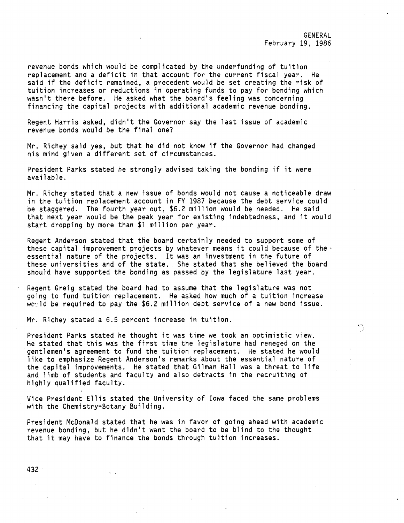GENERAL February 19, 1986

ر ۲۰

revenue bonds which would be complicated by the underfunding of tuition replacement and a deficit in that account for the current fiscal year. He said if the deficit remained, a precedent would be set creating the risk of tuition increases or reductions in operating funds to pay for bonding which wasn't there before. He asked what the board's feeling was concerning financing the capital projects with additional academic revenue bonding.

Regent Harris asked, didn't the Governor say the last issue of academic revenue bonds would be the final one?

Mr. Richey said yes, but that he did not know if the Governor had changed his mind given a different set of circumstances.

President Parks stated he strongly advised taking the bonding if it were available.

Mr. Richey stated that a new issue of bonds would not cause a noticeable draw in the tuition replacement account in FY 1987 because the debt service could be staggered. The fourth year out, \$6.2 million would be needed. He said that next year would be the peak year for existing indebtedness, and it would start dropping by more than \$1 million per year.

Regent Anderson stated that the board certainly needed to support some of these capital improvement projects by whatever means it could because of theessential nature of the projects. It was an investment in the future of these universities and of the state. She stated that she believed the board should have supported the bonding as passed by the legislature last year.

Regent Greig stated the board had to assume that the legislature was not going to fund tuition replacement. He asked how much of a tuition increase wc~ld be required to pay the \$6.2 million debt service of a new bond issue.

Mr. Richey stated a 6.5 percent increase in tuition.

President Parks stated he thought it was time we took an optimistic view. He stated that this was the first time the legislature had reneged on the gentlemen's agreement to fund the tuition replacement. He stated he would like to emphasize Regent Anderson's remarks about the essential nature of the capital improvements. He stated that Gilman Hall was a threat to life and limb of students and faculty and also detracts in the recruiting of highly qualified faculty.

Vice President Ellis stated the University of Iowa faced the same problems with the Chemistry-Botany Building.

President McDonald stated that he was in favor of going ahead with academic revenue bonding, but he didn't want the board to be blind to the thought that it may have to finance the bonds through tuition increases.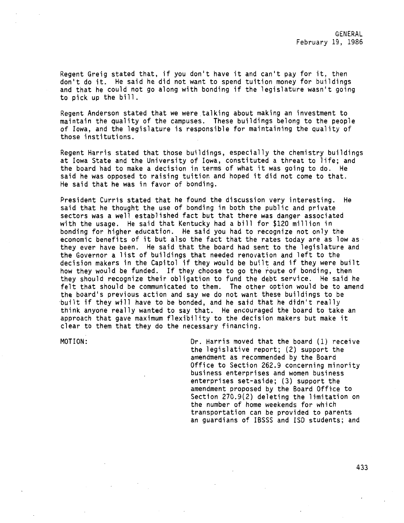Regent Greig stated that, if you don't have it and can't pay for it, then don't do it. He said he did not want to spend tuition money for buildings and that he could not go along with bonding if the legislature wasn't going to pick up the bill.

Regent Anderson stated that we were\_talking about making an investment to maintain the quality of the campuses. These buildings belong to the people of Iowa, and the legislature is responsible for maintaining the quality of those institutions.

Regent Harris stated that those buildings, especially the chemistry buildings at Iowa State and the University of Iowa, constituted a threat to life; and the board had to make a decision in terms of what it was going to do. He said he was opposed to raising tuition and hoped it did not come to that. He said that he was in favor of bonding.

President Curris stated that he found the discussion very interesting. He said that he thought the use of bonding in both the public and private sectors was a well established fact but that there was danger associated with the usage. He said that Kentucky had a bill for \$120 million in bonding for higher education. He said you had to recognize not only the economic benefits of it but also the fact that the rates today are as low as they ever have been. He said that the board had sent to the legislature and the Governor a list of buildings that needed renovation and left to the decision makers in the Capitol if they would be built and if they were built how they would be funded. If they choose to go the route of bonding, then they should recognize their obligation to fund the debt service. He said he felt that should be communicated to them. The other option would be to amend the board's previous action and say we do not want these buildings to be ·built if they will have to be bonded, and he said that he didn't really think anyone really wanted to say that. He encouraged the board to take an approach that gave maximum flexibility to the decision makers but make it clear to them that they do the necessary financing.

MOTION: Dr. Harris moved that the board (1) receive the legislative report; (2) support the amendment as recommended by the Board Office to Section 262.9 concerning minority business enterprises and women business enterprises set-aside; (3) support the amendment proposed by the Board Office to Section 270.9(2) deleting the limitation on the number of home weekends for which transportation can be provided to parents an guardians of IBSSS and ISO students; and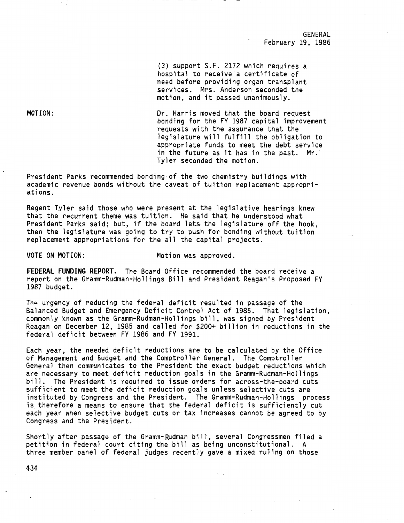GENERAL February 19, 1986

(3) support S.F. 2172 which requires a hospital to receive a certificate of need before providing organ transplant services. Mrs. Anderson seconded the motion, and it passed unanimously.

Dr. Harris moved that the board request bonding for the FY 1987 capital improvement requests with the assurance that the legislature will fulfill the obligation to appropriate funds to meet the debt service in the future as it has in the past. Mr. Tyler seconded the motion.

President Parks recommended bonding-of the two chemistry buildings with academic revenue bonds without the caveat of tuition replacement appropriations.

Regent Tyler said those who were present at the legislative hearings knew that the recurrent theme was tuition. He said that he understood what President Parks said; but, if the board lets the legislature off the hook, then the legislature was going to try to push for bonding without tuition replacement appropriations for the all the capital projects.

VOTE ON MOTION: Motion was approved.

**FEDERAL FUNDING REPORT.** The Board Office recommended the board receive a report on the Gramm-Rudman-Hollings Bill and President Reagan's Proposed FY 1987 budget.

The urgency of reducing the federal deficit resulted in passage of the Balanced Budget and Emergency Deficit Control Act of 1985. That legislation, commonly known as the Gramm-Rudman-Hollings bill, was signed by President Reagan on December 12, 1985 and called for \$200+ billion in reductions in the federal deficit between FY 1986 and FY 1991.

Each year, the needed deficit reductions are to be calculated by the Office of Management and Budget and the Comptroller General. The Comptroller General then communicates to the President the exact budget reductions which are necessary to meet deficit reduction goals in the Gramm-Rudman-Hollings bill. The President is required to issue orders for across-the-board cuts sufficient to meet the deficit reduction goals unless selective cuts are instituted by Congress and the President. The Gramm-Rudman-Hollings process is therefore a means to ensure that the federal deficit is sufficiently cut each year when selective budget cuts or tax increases cannot be agreed to by Congress and the President.

Shortly after passage of the Gramm-Rudman bill, several Congressmen filed a petition in federal court citing the bill as being unconstitutional. A three member panel of federal judges recently gave a mixed ruling on those

MOTION: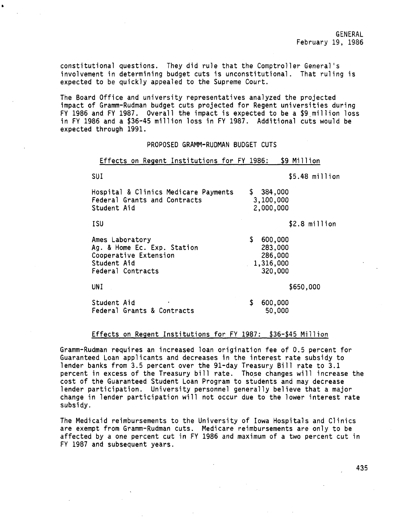constitutional questions. They did rule that the Comptroller General's involvement in determining budget cuts is unconstitutional. That ruling is expected to be quickly appealed to the Supreme Court.

The Board Office and university representatives analyzed the projected impact of Gramm-Rudman budget cuts projected for Regent universities during FY 1986 and FY 1987. Overall the impact is expected to be a \$9 million loss in FY 1986 and a \$36-45 million loss in FY 1987. Additional cuts would be expected through 1991.

#### PROPOSED GRAMM-RUDMAN BUDGET CUTS

Effects on Regent Institutions for FY 1986: \$9 Million

 $SIII$   $\qquad \qquad$   $\qquad \qquad$   $\qquad$   $\qquad$   $\qquad$   $\qquad$   $\qquad$   $\qquad$   $\qquad$   $\qquad$   $\qquad$   $\qquad$   $\qquad$   $\qquad$   $\qquad$   $\qquad$   $\qquad$   $\qquad$   $\qquad$   $\qquad$   $\qquad$   $\qquad$   $\qquad$   $\qquad$   $\qquad$   $\qquad$   $\qquad$   $\qquad$   $\qquad$   $\qquad$   $\qquad$   $\qquad$   $\qquad$   $\qquad$   $\qquad$ 

| ---                                                                                                         | UU I III I I IVII                                           |
|-------------------------------------------------------------------------------------------------------------|-------------------------------------------------------------|
| Hospital & Clinics Medicare Payments<br>Federal Grants and Contracts<br>Student Aid                         | \$384,000<br>3,100,000<br>2,000,000                         |
| ISU                                                                                                         | $$2.8$ million                                              |
| Ames Laboratory<br>Ag. & Home Ec. Exp. Station<br>Cooperative Extension<br>Student Aid<br>Federal Contracts | \$<br>600,000<br>283,000<br>286,000<br>1,316,000<br>320,000 |
| UNI.                                                                                                        | \$650,000                                                   |
| Student Aid<br>۰<br>Federal Grants & Contracts                                                              | \$<br>600,000<br>50,000                                     |

# Effects on Regent Institutions for FY 1987: \$36-\$45 Million

Gramm-Rudman requires an increased loan origination fee of 0.5 percent for Guaranteed Loan applicants and decreases in the interest rate subsidy to lender banks from 3.5 percent over the 91-day Treasury Bill rate to 3.1 percent in excess of the Treasury bill rate. Those changes will increase the cost of the Guaranteed Student Loan Program to students and may decrease lender participation. University personnel generally believe that a major change in lender participation will not occur due to the lower interest rate subsidy.

The Medicaid reimbursements to the University of Iowa Hospitals and Clinics are exempt from Gramm-Rudman cuts. Medicare reimbursements are only to be affected by a one percent cut in FY 1986 and maximum of a two percent cut in FY 1987 and subsequent years.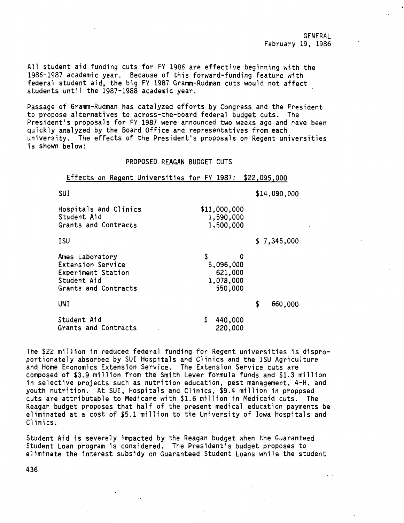GENERAL February 19, 1986

All student aid funding cuts for FY 1986 are effective beginning with the 1986-1987 academic year. Because of this forward-funding feature with federal student aid, the big FY 1987 Gramm-Rudman cuts would not affect students until the 1987-1988 academic year.

Passage of Gramm-Rudman has catalyzed efforts by Congress and the President to propose alternatives to across-the-board federal budget cuts. The President's proposals for FY 1987 were announced two weeks ago and have been quickly analyzed by the Board Office and representatives from each university. The effects of the President's proposals on Regent universities is shown below:

PROPOSED REAGAN BUDGET CUTS

Effects on Regent Universities for FY 1987: \$22,095,000

\$11,000,000 1,590,000 1,500,000

\$ 0 5,096,000 621,000 1,078,000 550,000

SUI \$14,090,000

\$ 7,345,000

| Hospitals and Clinics |  |
|-----------------------|--|
| Student Aid           |  |
| Grants and Contracts  |  |

**ISU** 

UNI

Ames Laboratory Extension Service Experiment Station Student Aid Grants and Contracts

\$ 660,000

Student Aid Grants and Contracts \$ 440,000 220,000

The \$22 million in reduced federal funding for Regent universities is disproportionately absorbed by SUI Hospitals and Clinics and the ISU Agriculture and Home Economics Extension Service. The Extension Service cuts are composed of \$3.9 million from the Smith Lever formula funds and \$1.3 million in selective projects such as nutrition education, pest management, 4-H, and youth nutrition. At SUI, Hospitals and Clinics, \$9.4 million in proppsed cuts are attributable to Medicare with \$1.6 million in Medicaid cuts. The Reagan budget proposes that half of the present medical education payments be eliminated at a cost of \$5.1 million to the University of Iowa Hospitals and Clinics.

Student Aid is severely impacted by the Reagan budget when the Guaranteed Student Loan program is considered. The President's budget proposes to eliminate the interest subsidy on Guaranteed Student Loans while the student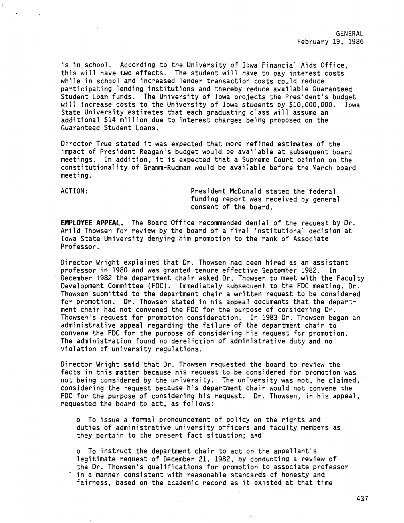is in school. According to the University of Iowa Financial Aids Office, this will have two effects. The student will have to pay interest costs while in school and increased lender transaction costs could reduce participating lending institutions and thereby reduce available Guaranteed Student Loan funds. The University of Iowa projects the President's budget will increase costs to the University of Iowa students by \$10,000,000. Iowa State University estimates that each graduating class will assume an additional \$14 million due to interest charges being proposed on the Guaranteed Student Loans.

Director True stated it was expected that more refined estimates of the impact of President Reagan's budget would be available at subsequent board meetings. In addition, it is expected that a Supreme Court opinion on the constitutionality of Gramm-Rudman would be available before the March board meeting.

ACTION: President McDonald stated the federal funding report was received by general consent of the board.

**EMPLOYEE APPEAL.** The Board Office recommended denial of the request by Dr. Arild Thowsen for review by the board of a final institutional decision at Iowa State University denying him promotion to the rank of Associate Professor.

Director Wright explained that Dr. Thowsen had been hired as an assistant professor in 1980 and was granted tenure effective September 1982. In December 1982 the department chair asked Dr. Thowsen to meet with the Faculty Development Committee (FDC). Immediately subsequent to the FDC meeting, Dr. Thowsen submitted to the department chair a written request to be considered for promotion. Dr. Thowsen stated in his appeal documents that the department chair had not convened the FDC for the purpose of considering Dr. Thowsen's request for promotion consideration. In 1983 Dr. Thowsen began an administrative appeal regarding the failure of the department chair to convene the FDC for the purpose of considering his request for promotion. The administration found no dereliction of administrative duty and no violation of university regulations.

Director Wright said that Dr. Thowsen requested the board to review the facts in this matter because his request to be considered for promotion was not being considered by the university. The university was not, he claimed, considering the request because his department chair would not convene the FDC for the purpose of considering his request. Dr. Thowsen, in his appeal, requested the board to act, as follows:

<sup>~</sup>To issue a formal pronouncement of policy on the rights and duties of administrative university officers and faculty members as they pertain to the present fact situation; and

o To instruct the department chair to act on the appellant's legitimate request of December 21, 1982, by conducting a review of the Dr. Thowsen's qualifications for promotion to associate professor in a manner consistent with reasonable standards of honesty and fairness, based on the academic record as it existed at that time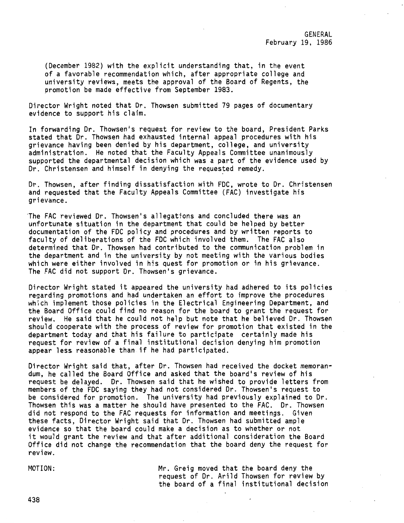GENERAL February 19, 1986

(December 1982) with the explicit understanding that, in the event of a favorable recommendation which, after appropriate college and university reviews, meets the approval of the Board of Regents, the promotion be made effective from September 1983.

Director Wright noted that Dr. Thowsen submitted 79 pages of documentary evidence to support his claim.

In forwarding Dr. Thowsen's request for review to the board, President Parks stated that Dr. Thowsen had exhausted internal appeal procedures with his grievance having been denied by his department, college, and university administration. He noted that the Faculty Appeals Committee unanimously supported the departmental decision which was a part of the evidence used by Dr. Christensen and himself in denying the requested remedy.

Dr. Thowsen, after finding dissatisfaction with FDC, wrote to Dr. Christensen and requested that the Faculty Appeals Committee (FAG) investigate his grievance.

The FAC reviewed Dr. Thowsen's allegations and concluded there was an unfortunate situation in the department that could be helped by better documentation of the FDC policy and procedures and by written reports to faculty of deliberations of the FDC which involved them. The FAC also determined that Dr. Thowsen had contributed to the communication problem in the department and in the university by not meeting with the various bodies which were either involved in his quest for promotion or in his grievance. The FAC did not support Dr. Thowsen's grievance.

Director Wright stated it appeared the university had adhered to its policies regarding promotions and had undertaken an effort to improve the procedures which implement those policies in the Electrical Engineering Department, and the Board Office could find no reason for the board to grant the request for review. He said that he could not help but note that he believed Dr. Thowsen should cooperate with the process of review for promotion that existed in the department today and that his failure to participate certainly made his request for review of a final institutional decision denying him promotion appear less reasonable than if he had participated.

Director Wright said that, after Dr. Thowsen had received the docket memorandum, he called the Board Office and asked that the board's review of his request be delayed. Dr. Thowsen said that he wished to provide letters from members of the FDC saying they had not considered Dr. Thowsen's request to be considered for promotion. The university had previously explained to Dr. Thowsen this was a matter he should have presented to the FAC. Dr. Thowsen did not respond to the FAC requests for information and meetings. Given these facts, Director Wright said that Dr. Thowsen had submitted ample evidence so that the board could make a decision as to whether or not it would grant the review and that after additional consideration the Board Office did not change the recommendation that the board deny the request for review.

MOTION:

Mr. Greig moved that the board deny the request of Dr. Arild Thowsen for review by the board of a final institutional decision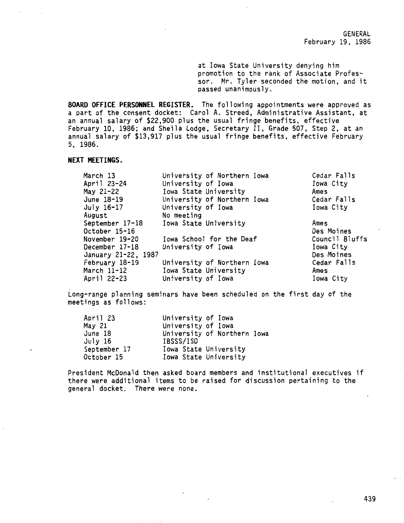at Iowa State University denying him promotion to the rank of Associate Professor. Mr. Tyler seconded the motion, and it passed unanimously.

**BOARD OFFICE PERSONNEL REGISTER.** The following appointments were approved as a part of the consent docket: Carol A. Streed, Administrative Assistant, at an annual salary of \$22,900 plus the usual fringe benefits, effective February 10, 1986; and Sheila Lodge, Secretary II, Grade 507, Step 2, at an annual salary of \$13,917 plus the usual fringe benefits, effective February 5, 1986.

# **NEXT MEETINGS.**

| March 13            | University of Northern Iowa | Cedar Falls    |
|---------------------|-----------------------------|----------------|
| April 23-24         | University of Iowa          | Iowa City      |
| May 21-22           | Iowa State University       | Ames           |
| June 18-19          | University of Northern Iowa | Cedar Falls    |
| July 16-17          | University of Iowa          | Iowa City      |
| August              | No meeting                  |                |
| September 17-18     | Iowa State University       | Ames           |
| October 15-16       |                             | Des Moines     |
| November 19-20      | Iowa School for the Deaf    | Council Bluffs |
| December 17-18      | University of Iowa          | Iowa City      |
| January 21-22, 1987 |                             | Des Moines     |
| February 18-19      | University of Northern Iowa | Cedar Falls    |
| March 11-12         | Iowa State University       | Ames           |
| April 22-23         | University of Iowa          | Iowa City      |

Long-range planning seminars have been scheduled on the first day of the meetings as follows:

| April 23     | University of Iowa          |
|--------------|-----------------------------|
| May 21       | University of Iowa          |
| June 18      | University of Northern Iowa |
| July 16      | IBSSS/ISD                   |
| September 17 | Iowa State University       |
| October 15   | Iowa State University       |

President McDonald then asked board members and institutional executives if there were additional items to be raised for discussion pertaining to the general docket. There were none.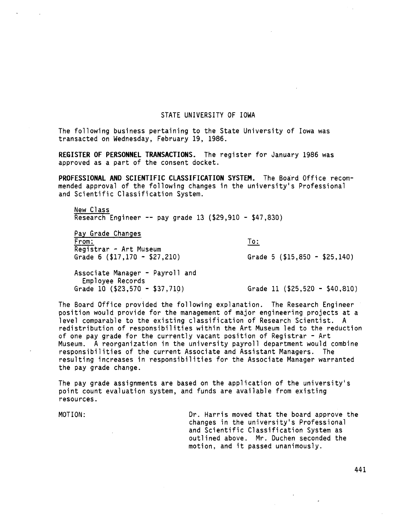#### STATE UNIVERSITY OF IOWA

The following business pertaining to the State University of Iowa was transacted on Wednesday, February 19, 1986.

**REGISTER OF PERSONNEL TRANSACTIONS.** The register for January 1986 was approved as a part of the consent docket.

**PROFESSIONAL AND SCIENTIFIC CLASSIFICATION SYSTEM.** The Board Office recommended approval of the following changes in the university's Professional and Scientific Classification System.

New Class Research Engineer -- pay grade 13 (\$29,910 - \$47,830)

Pay Grade Changes From: Registrar - Art Museum Grade 6 (\$17,170 - \$27,210)

To:

Grade 5 (\$15,850 - \$25,140)

Associate Manager - Payroll and Employee Records<br>Grade 10 (\$23,570 - \$37,710)

Grade 11 (\$25,520 - \$40,810)

The Board Office provided the following explanation. The Research Engineer position would provide for the management of major engineering projects at a level comparable to the existing classification of Research Scientist. A redistribution of responsibilities within the Art Museum led to the reduction of one pay grade for the currently vacant position of Registrar - Art Museum. A reorganization in the university payroll department would combine responsibilities of the current Associate and Assistant Managers. The resulting increases in responsibilities for the Associate Manager warranted the pay grade change.

The pay grade assignments are based on the application of the university's point count evaluation system, and funds are available from existing resources.

MOTION: Dr. Harris moved that the board approve the changes in the university's Professional and Scientific Classification System as outlined above. Mr. Duchen seconded the motion, and it passed unanimously.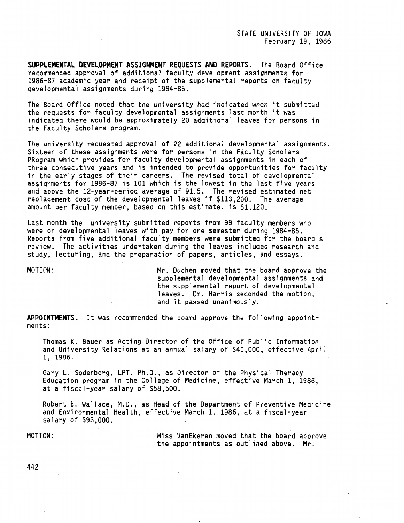STATE UNIVERSITY OF IOWA February 19, 1986

**SUPPLEMENTAL DEVELOPMENT ASSIGNMENT REQUESTS AND REPORTS.** The Board Office recommended approval of additional faculty development assignments for 1986-87 academic year and receipt of the supplemental reports on faculty developmental assignments during 1984-85.

The Board Office noted that the university had indicated when it submitted the requests for faculty developmental assignments last month it was indicated there would be approximately 20 additional leaves for persons in the Faculty Scholars program.

The university requested approval of 22 additional developmental assignments. Sixteen of these assignments were for persons in the Faculty Scholars PRogram which provides for faculty developmental assignments in each of three consecutive years and is intended to provide opportunities for faculty in the early stages of their careers. The revised total of developmental assignments for 1986-87 is 101 which is the lowest in the last five years and above the 12-year-period average of 91.5. The revised estimated net replacement cost of the developmental leaves if \$113,200. The average amount per faculty member, based on this estimate, is \$1,120.

Last month the university submitted reports from 99 faculty members who were on developmental leaves with pay for one semester during 1984-85. Reports from five additional faculty members were submitted for the board's review. The activities undertaken during the leaves included research and study, lecturing, and the preparation of papers, articles, and essays.

MOTION: Mr. Duchen moved that the board approve the supplemental developmental assignments and the supplemental report of developmental leaves. Dr. Harris seconded the motion, and it passed unanimously.

**APPOINTMENTS.** It was recommended the board approve the following appointments:

Thomas K. Bauer as Acting Director of the Office of Public Information and University Relations at an annual salary of \$40,000, effective April 1, 1986.

Gary L. Soderberg, LPT. Ph.D., as Director of the Physical Therapy Education program in the College of Medicine, effective March 1, 1986, at a fiscal-year salary of \$58,500.

Robert B. Wallace, M.D., as Head of the Department of Preventive Medicine and Environmental Health, effective March 1, 1986, at a fiscal-year salary of \$93,000.

MOTION: Miss VanEkeren moved that the board approve the appointments as outlined above. Mr.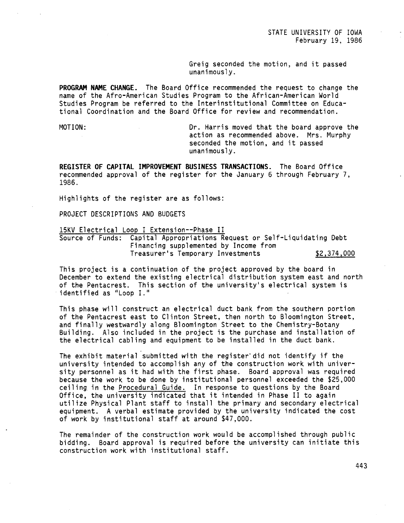Greig seconded the motion, and it passed unanimously.

**PROGRAM NAME CHANGE.** The Board Office recommended the request to change the name of the Afro-American Studies Program to the African-American World Studies Program be referred to the Interinstitutional Committee on Educational Coordination and the Board Office for review and recommendation.

MOTION: Dr. Harris moved that the board approve the action as recommended above. Mrs. Murphy seconded the motion, and it passed unanimously.

**REGISTER OF CAPITAL IMPROVEMENT BUSINESS TRANSACTIONS.** The Board Office recommended approval of the register for the January 6 through February 7, 1986.

Highlights of the register are as follows:

PROJECT DESCRIPTIONS AND BUDGETS

# 15KV Electrical Loop I Extension--Phase II

Source of Funds: Capital Appropriations Request or Self-Liquidating Debt Financing supplemented by Income from Treasurer's Temporary Investments \$2,374,000

This project is a continuation of the project approved by the board in December to extend the existing electrical distribution system east and north of the Pentacrest. This section of the university's electrical system is identified as "Loop I."

This phase will construct an electrical duct bank from the southern portion of the Pentacrest east to Clinton Street, then north to Bloomington Street, and finally westwardly along Bloomington Street to the Chemistry-Botany Building. Also included in the project is the purchase and installation of the electrical cabling and equipment to be installed in the duct bank.

The exhibit material submitted with the register"did not identify if the university intended to accomplish any of the construction work with university personnel as it had with the first phase. Board approval was required because the work to be done by institutional personnel exceeded the \$25,000 ceiling in the Procedural Guide. In response to questions by the Board Office, the university indicated that it intended in Phase II to again utilize Physical Plant staff to install the primary and secondary electrical equipment. A verbal estimate provided by the university indicated the cost of work by institutional staff at around \$47,000.

The remainder of the construction work would be accomplished through public bidding. Board approval is required before the university can initiate this construction work with institutional staff.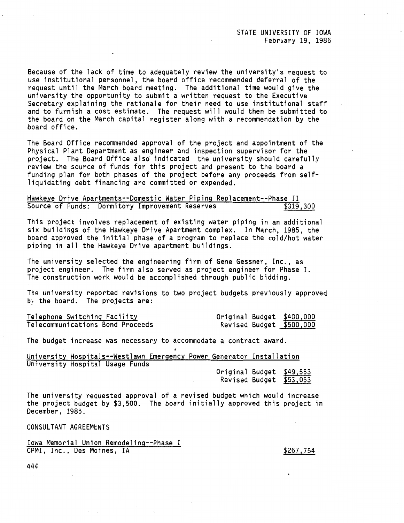Because of the lack of time to adequately review the university's request to use institutional personnel, the board office recommended deferral of the request until the March board meeting. The additional time would give the university the opportunity to submit a written request to the Executive Secretary explaining the rationale for their need to use institutional staff and to furnish a cost estimate. The request will would then be submitted to the board on the March capital register along with a recommendation by the board office.

The Board Office recommended approval of the project and appointment of the Physical Plant Department as engineer and inspection supervisor for the project. The Board Office also indicated the university should carefully review the source of funds for this project and present to the board a funding plan for both phases of the project before any proceeds from selfliquidating debt financing are committed or expended.

Hawkeye Drive Apartments--Domestic Water Piping Replacement--Phase II Source of Funds: Dormitory Improvement Reserves

This project involves replacement of existing water piping in an additional six buildings of the Hawkeye Drive Apartment complex. In March, 1985, the board approved the initial phase of a program to replace the cold/hot water piping in all the Hawkeye Drive apartment buildings.

The university selected the engineering firm of Gene Gessner, Inc., as project engineer. The firm also served as project engineer for Phase I. The construction work would be accomplished through public bidding.

The university reported revisions to two project budgets previously approved by the board. The projects are:

| Telephone Switching Facility     | Original Budget \$400,000 |  |
|----------------------------------|---------------------------|--|
| Telecommunications Bond Proceeds | Revised Budget \$500,000  |  |

The budget increase was necessary to accommodate a contract award.

| University Hospitals--Westlawn Emergency Power Generator Installation |  |  |                        |  |  |
|-----------------------------------------------------------------------|--|--|------------------------|--|--|
| University Hospital Usage Funds                                       |  |  |                        |  |  |
|                                                                       |  |  | Oniginal Budget CAQ EP |  |  |

Original Budget \$49,553 Revised Budget \$53,053

The university requested approval of a revised budget which would increase the project budget by \$3,500. The board initially approved this project in December, 1985.

CONSULTANT AGREEMENTS

Iowa Memorial Union Remodeling--Phase I CPMI, Inc., Des Moines, IA

\$267,754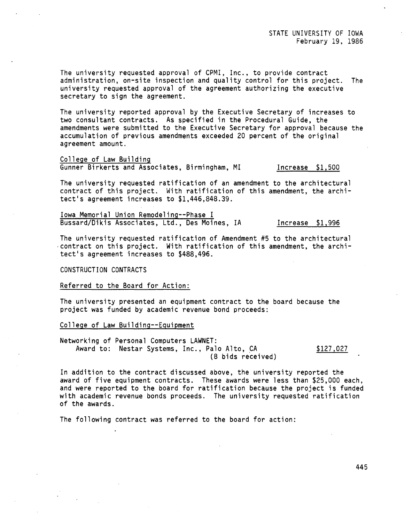The university requested approval of CPMI, Inc., to provide contract administration, on-site inspection and quality control for this project. The university requested approval of the agreement authorizing the executive secretary to sign the agreement.

The university reported approval by the Executive Secretary of increases to two consultant contracts. As specified in the Procedural Guide, the amendments were submitted to the Executive Secretary for approval because the accumulation of previous amendments exceeded 20 percent of the original agreement amount.

College of Law Building Gunner Birkerts and Associates, Birmingham, MI Increase \$1,500

The university requested ratification of an amendment to the architectural contract of this project. With ratification of this amendment, the architect's agreement increases to \$1,446,848.39.

Iowa Memorial Union Remodeling--Phase I Bussard/Dikis Associates, Ltd., Des Moines, IA Increase \$1,996

The university requested ratification of Amendment #5 to the architectural -contract on this project. With ratification of this amendment, the architect's agreement increases to \$488,496.

CONSTRUCTION CONTRACTS

Referred to the Board for Action:

The university presented an equipment contract to the board because the project was funded by academic revenue bond proceeds:

College of Law Building--Eguipment

Networking of Personal Computers LAWNET: Award to: Nestar Systems, Inc., Palo Alto, CA (8 bids received)

\$127,027

In addition to the contract discussed above, the university reported the award of five equipment contracts. These awards were less than \$25,000 each, and were reported to the board for ratification because the project is funded with academic revenue bonds proceeds. The university requested ratification of the awards.

The following contract was referred to the board for action: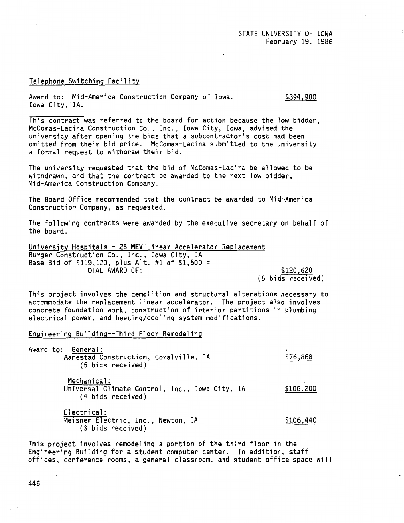#### Telephone Switching Facility

Award to: Mid-America Construction Company of Iowa, Iowa City, IA. \$394,900

This contract was referred to the board for action because the low bidder, Mccomas-Lacina Construction Co., Inc., Iowa City, Iowa, advised the university after opening the bids that a subcontractor's cost had been omitted from their bid price. Mccomas-Lacina submitted to the university a formal request to withdraw their bid.

The university requested that the bid of Mccomas-Lacina be allowed to be withdrawn, and that the contract be awarded to the next low bidder, Mid-America Construction Company.

The Board Office recommended that the contract be awarded to Mid-America Construction Company, as requested.

The following contracts were awarded by the executive secretary on behalf of the board.

University Hospitals - 25 MEV Linear Accelerator Replacement Burger Construction Co., Inc., Iowa City, IA Base Bid of \$119,120, plus Alt. #1 of \$1,500 = TOTAL AWARD OF: \$120,620 (5 bids received)

Th's project involves the demolition and structural alterations necessary to accommodate the replacement linear accelerator. The project also involves concrete foundation work, construction of interior partitions in plumbing electrical power, and heating/cooling system modifications.

## Engineering Building--Third Floor Remodeling

| Award to: General:                    |  |          |
|---------------------------------------|--|----------|
| Aanestad Construction, Coralville, IA |  | \$76,868 |
| (5 bids received)                     |  |          |
|                                       |  |          |

Mechanical: Universal Climate Control, Inc., Iowa City, IA (4 bids received) \$106,200

Electrical: Meisner Electric, Inc., Newton, IA (3 bids received) \$106,440

This project involves remodeling a portion of the third floor in the Engineering Building for a student computer center. In addition, staff offices, conference rooms, a general classroom, and student office space will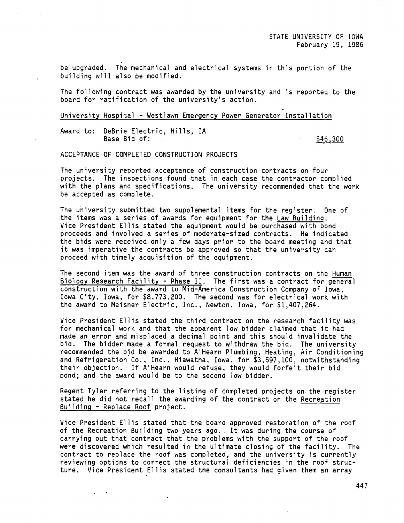be upgraded. The mechanical and electrical systems in this portion of the building will also be modified.

The following contract was awarded by the university and is reported to the board for ratification of the university's action.

#### University Hospital - Westlawn Emergency Power Generator Installation

Award to: OeBrie Electric, Hills, IA Base Bid of: \$46,300

 $\mathbf{L}^{\text{max}}$  and  $\mathbf{L}^{\text{max}}$ 

ACCEPTANCE OF COMPLETED CONSTRUCTION PROJECTS

The university reported acceptance of construction contracts on four projects. The inspections found that in each case the contractor complied with the plans and specifications. The university recommended that the work be accepted as complete.

The university submitted two supplemental items for the register. One of the items was a series of awards for equipment for the Law Building. Vice President Ellis stated the equipment would be purchased with bond proceeds and involved a series of moderate-sized contracts. He indicated the bids were received only a few days prior to the board meeting and that it was imperative the contracts be approved so that the university can proceed with timely acquisition of the equipment.

The second item was the award of three construction contracts on the Human Biology Research Facility - Phase II. The first was a contract for general construction with the award to Mid-America Construction Company of Iowa, Iowa City, Iowa, for \$8,773,200. The second was for electrical work with the award to Meisner Electric, Inc., Newton, Iowa, for \$1,407,264.

Vice President Ellis stated the third contract on the research facility was for mechanical work and that the apparent low bidder claimed that it had made an error and misplaced a decimal point and this should invalidate the bid. The bidder made a formal request to withdraw the bid. The university recommended the bid be awarded to A'Hearn Plumbing, Heating, Air Conditioning and Refrigeration Co., Inc., Hiawatha, Iowa, for \$3,597,100, notwithstanding their objection. If A'Hearn would refuse, they would forfeit their bid bond; and the award would be to the second low bidder.

Regent Tyler referring to the listing of completed projects on the register stated he did not recall the awarding of the contract on the Recreation Building - Replace Roof project.

Vice President Ellis stated that the board approved restoration of the roof of the Recreation Building two years ago .. It was during the course of carrying out that contract that the problems with the support of the roof were discovered which resulted in the ultimate closing of the facility. The contract to replace the roof was completed, and the university is currently reviewing options to correct the structural deficiencies in the roof structure. Vice President Ellis stated the consultants had given them an array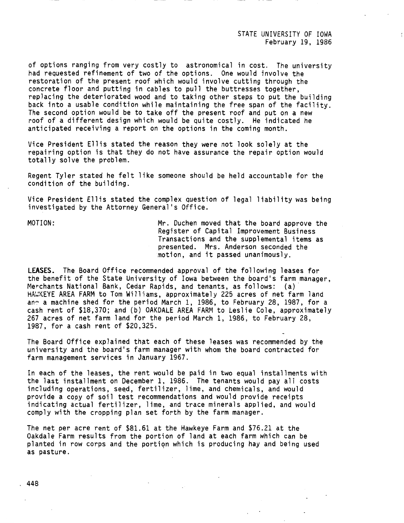STATE UNIVERSITY OF IOWA February 19, 1986

of options ranging from very costly to astronomical in cost. The university had requested refinement of two of the options. One would involve the restoration of the present roof which would involve cutting through the concrete floor and putting in cables to pull the buttresses together, replacing the deteriorated wood and to taking other steps to put the building back into a usable condition while maintaining the free span of the facility. The second option would be to take off the present roof and put on a new roof of a different design which would be quite costly. He indicated he anticipated receiving a report on the options in the coming month.

Vice President Ellis stated the reason they were not look solely at the repairing option is that they do not have assurance the repair option would totally solve the problem.

Regent Tyler stated he felt like someone should be held accountable for the condition of the building.

Vice President Ellis stated the complex question of legal liability was being investigated by the Attorney General's Office.

MOTION: Mr. Duchen moved that the board approve the Register of Capital Improvement Business Transactions and the supplemental items as presented. Mrs. Anderson seconded the motion, and it passed unanimously.

**LEASES.** The Board Office recommended approval of the following leases for the benefit of the State University of Iowa between the board's farm manager, Merchants National Bank, Cedar Rapids, and tenants, as follows: (a)· HAW:KEYE AREA FARM to Tom Williams, approximately 225 acres of net farm land ang a machine shed for the period March 1, 1986, to February 28, 1987, for a cash rent of \$18,370; and (b) OAKDALE AREA FARM to Leslie Cole, approximately 267 acres of net farm land for the period March 1, 1986, to February 28, 1987, for a cash rent of \$20,325.

The Board Office explained that each of these leases was recommended by the university and the board's farm manager with whom the board contracted for farm management services in January 1967.

In each of the leases, the rent would be paid in two equal installments with the last installment on December 1, 1986. The tenants would pay all costs including operations, seed, fertilizer, lime, and chemicals, and would provide a copy of soil test recommendations and would provide receipts indicating actual fertilizer, lime, and trace minerals applied, and would comply with the cropping plan set forth by the farm manager.

The net per acre rent of \$81.61 at the Hawkeye Farm and \$76.21 at the Oakdale Farm results from the portion of land at each farm which can be planted in row corps and the portiqn which is producing hay and being used as pasture .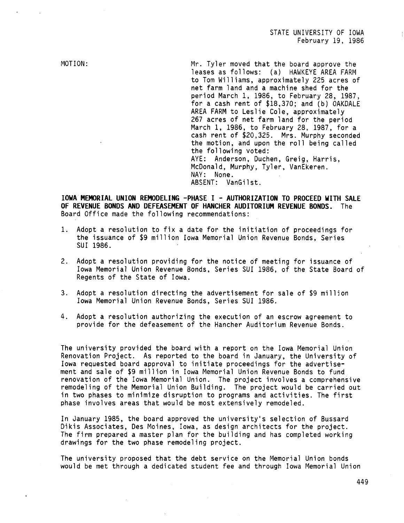MOTION:

Mr. Tyler moved that the board approve the leases as follows: (a) HAWKEYE AREA FARM to Tom Williams, approximately 225 acres of net farm land and a machine shed for the period March 1, 1986, to February 28, 1987, for a cash rent of \$18,370; and (b) OAKDALE AREA FARM to Leslie Cole, approximately 267 acres of net farm land for the period March l, 1986, to February 28, 1987, for a cash rent of \$20,325. Mrs. Murphy seconded the motion, and upon the roll being called the following voted: AYE: Anderson, Duchen, Greig, Harris, McDonald, Murphy, Tyler, VanEkeren. NAY: None. ABSENT: VanGilst.

**IOWA MEMORIAL UNION REMODELING -PHASE** I - **AUTHORIZATION TO PROCEED WITH SALE OF REVENUE BONDS AND DEFEASEMENT OF HANCHER AUDITORIUM REVENUE BONDS.** The Board Office made the following recommendations:

- 1. Adopt a resolution to fix a date for the initiation of proceedings for the issuance of \$9 million Iowa Memorial Union Revenue Bonds, Series SUI 1986.
- 2. Adopt a resolution providing for the notice of meeting for issuance of Iowa Memorial Union Revenue Bonds, Series SUI 1986, of the State Board of Regents of the State of Iowa.
- 3. Adopt a resolution directing the advertisement for sale of \$9 milljon Iowa Memorial Union Revenue Bonds, Series SUI 1986.
- 4. Adopt a resolution authorizing the execution of an escrow agreement to provide for the defeasement of the Hancher Auditorium Revenue Bonds.

The university provided the board with a report on the Iowa Memorial Union Renovation Project. As reported to the board in January, the University of Iowa requested board approval to initiate proceedings for the advertisement and sale of \$9 million in Iowa Memorial Union Revenue Bonds to fund renovation of the Iowa Memorial Union. The project involves a comprehensive remodeling of the Memorial Union Building. The project would be carried out in two phases to minimize disruption to programs and activities. The first phase involves areas that would be most extensively remodeled.

In January 1985, the board approved the university's selection of Bussard Dikis Associates, Des Moines, Iowa, as design architects for the project. The firm prepared a master plan for the building and has completed working drawings for the two phase remodeling project.

The university proposed that the debt service on the Memorial Union bonds would be met through a dedicated student fee and through Iowa Memorial Union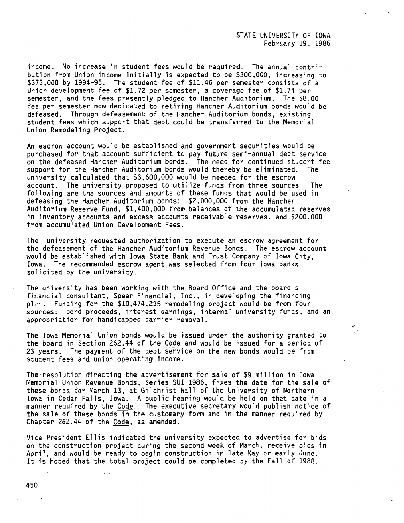income. No increase in student fees would be required. The annual contribution from Union income initially is expected to be \$300,000, increasing to \$375,000 by 1994-95. The student fee of \$11.46 per semester consists of a Union development fee of \$1.72 per semester, a coverage fee of \$1.74 per semester, and the fees presently pledged to Hancher Auditorium. The \$8.00 fee per semester now dedicated to retiring Hancher Auditorium bonds would be defeased. Through defeasement of the Hancher Auditorium bonds, existing student fees which support that debt could be transferred to the Memorial Union Remodeling Project.

An escrow account would be established and government securities would be purchased for that account sufficient to pay future semi-annual debt service on the defeased Hancher Auditorium bonds. The need for continued student fee support for the Hancher Auditorium bonds would thereby be eliminated. The university calculated that \$3,600,000 would be needed for the escrow account. The university proposed to utilize funds from three sources. The following are the sources and amounts of these funds that would be used in defeasing the Hancher Auditorium bonds: \$2,000,000 from the Hancher Auditorium Reserve Fund, \$1,400,000 from balances of the accumulated reserves in inventory accounts and excess accounts receivable reserves, and \$200,000 from accumulated Union Development Fees.

The university requested authorization to execute an escrow agreement for the defeasement of the Hancher Auditorium Revenue Bonds. The escrow account would be established with Iowa State Bank and Trust Company of Iowa City, Iowa. The recommended escrow agent was selected from four Iowa banks solicited by the university.

The university has been working with the Board Office and the board's financial consultant, Speer Financial, Inc., in developing the financing pl?~. Funding for the \$10,474,235 remodeling project would be from four sources: bond proceeds, interest earnings, internal university funds, and an appropriation for handicapped barrier removal.

The Iowa Memorial Union bonds would be issued under the authority granted to the board in Section 262.44 of the Code and would be issued for a period of 23 years. The payment of the debt service on the new bonds would be from student fees and union operating income.

The-resolution directing the advertisement for sale of \$9 million in Iowa Memorial Union Revenue Bonds, Series SUI 1986, fixes the date for the sale of these bonds for March 13, at Gilchrist Hall of the University of Northern Iowa in Cedar Falls, Iowa. A public hearing would be held on that date in a manner required by the Code. The executive secretary would publish notice of the sale of these bonds in the customary form and in the manner required by Chapter 262.44 of the Code, as amended.

Vice President Ellis indicated the university expected to advertise for bids on the construction project during the second week of March, receive bids in April, and would be ready to begin construction in late May or early June. It is hoped that the total project could be completed by the Fall of 1988.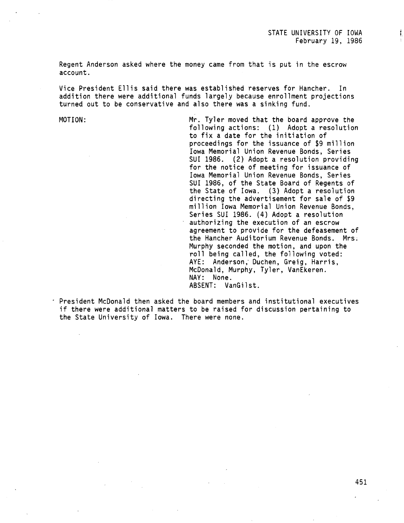;  $\mathbf{f}_\perp$ 

Regent Anderson asked where the money came from that is put in the escrow account.

Vice President Ellis said there was established reserves for Hancher. In addition there were additional funds largely because enrollment projections turned out to be conservative and also there was a sinking fund.

MOTION: Mr. Tyler moved that the board approve the following actions: (1) Adopt a resolution to fix a date for the initiation of proceedings for the issuance of \$9 million Iowa Memorial Union Revenue Bonds, Series SUI 1986. (2) Adopt a resolution providing for the notice of meeting for issuance of Iowa Memorial Union Revenue Bonds, Series SUI 1986, of the State Board of Regents of the State of Iowa. (3) Adopt a resolution directing the advertisement for sale of \$9 million Iowa Memorial Union Revenue Bonds, Series SUI 1986. (4) Adopt a resolution authorizing the execution of an escrow agreement to provide for the defeasement of the Hancher Auditorium Revenue Bonds. Mrs; Murphy seconded the motion, and upon the roll being called, the following voted: AYE: Anderson, Duchen, Greig, Harris, McDonald, Murphy, Tyler, VanEkeren. NAY: None. ABSENT: VanGilst.

President McDonald then asked the board members and institutional executives if there were additional matters to be raised for discussion pertaining to the State University of Iowa. There were none.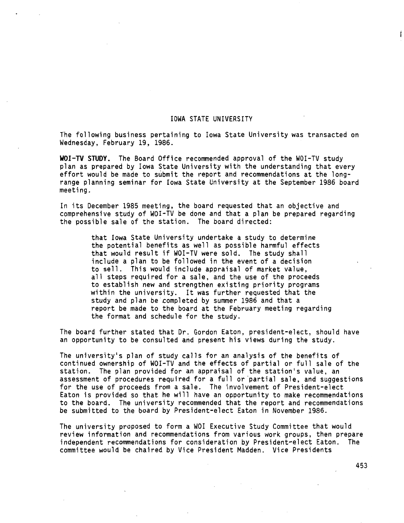# IOWA STATE UNIVERSITY

The following business pertaining to Iowa State University was transacted on Wednesday, February 19, 1986.

**WOI-TV STUDY.** The Board Office recommended approval of the WOI-TV study plan as prepared by Iowa State University with the understanding that every effort would be made to submit the report and recommendations at the longrange planning seminar for Iowa State University at the September 1986 board meeting.

In its December 1985 meeting, the board requested that an objective and comprehensive study of WOI-TV be done and that a plan be prepared regarding the possible sale of the station. The board directed:

> that Iowa State University undertake a study to determine the potential benefits as well as possible harmful effects that would result if WOI-TV were sold. The study shall include a plan to be followed in the event of a decision to sell. This would include appraisal of market value, all steps required for a sale, and the use of the proceeds to establish new and strengthen existing priority programs within the university. It was further requested that the study and plan be completed by summer 1986 and that a report be made to the board at the February meeting regarding the format and schedule for the study.

The board further stated that Dr. Gordon Eaton, president-elect, should have an opportunity to be consulted and present his views during the study.

The university's plan of study calls for an analysis of the benefits of continued ownership of WOI-TV and the effects of partial or full sale of the station. The plan provided for an appraisal of the station's value, an assessment of procedures required for a full or partial sale, and suggestions for the use of proceeds from a sale. The involvement of President-elect Eaton is provided so that he will have an opportunity to make recommendations to the board. The university recommended that the report and recommendations be submitted to the board by President-elect Eaton in November 1986.

The university proposed to form a WOI Executive Study Committee that would review information and recommendations from various work groups, then prepare independent recommendations for consideration by President-elect Eaton. The committee would be chaired by Vice President Madden. Vice Presidents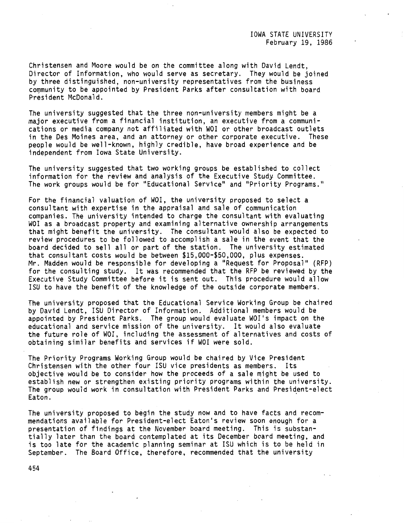Christensen and Moore would be on the committee along with David Lendt, Director of Information, who would serve as secretary. They would be joined by three distinguished, non-university representatives from the business community to be appointed by President Parks after consultation with board President McDonald.

The university suggested that the three non-university members might be a major executive from a financial institution, an executive from a communications or media company not affiliated with WOI or other broadcast outlets in the Des Moines area, and an attorney or other corporate executive. These people would be well-known, highly credible, have broad experience and be independent from Iowa State University.

The university suggested that two working groups be established to collect information for the review and analysis of the Executive Study. Committee. The work groups would be for "Educational Service" and "Priority Programs."

For the financial valuation of WOI, the university proposed to select a consultant with expertise in the appraisal and sale of communication companies. The university intended to charge the consultant with evaluating WOI as a broadcast property and examining alternative ownership arrangements that might benefit the university. The consultant would also be expected to review procedures to be followed to accomplish a sale in the event that the board decided to sell all or part of the station. The university estimated that consultant costs would be between \$15,000-\$50,000, plus expenses. Mr. Madden would be responsible for developing a "Request for Proposal'' (RFP) for the consulting study. It was recommended that the RFP be reviewed by the Executive Study Committee before it is sent out. This procedure would allow ISU to have the benefit of the knowledge of the outside corporate members.

The university proposed that the Educational Service Working Group be chaired by David Lendt, ISU Director of Information. Additional members would be appointed by President Parks. The group would evaluate WOI's impact on the educational and service mission of the university. It would also evaluate the future role of WOI, including the assessment of alternatives and costs of obtaining similar benefits and services if WOI were sold.

The Priority Programs Working Group would be chaired by Vice President Christensen with the other four ISU vice presidents as members. Its objective would be to consider how the proceeds of a sale might be used to establish new or strengthen existing priority programs within the university. The group would work in consultation with President Parks and President-elect Eaton. **Example 20** For the contract of the contract of the contract of the contract of the contract of the contract of the contract of the contract of the contract of the contract of the contract of the contract of the co

The university proposed to begin the study now and to have facts and recommendations available for President-elect Eaton's review soon enough for a presentation of findings at the November board meeting. This is substantially later than the board contemplated at its December board meeting, and is too late for the academic planning seminar at ISU which is to be held in September. The Board Office, therefore, recommended that the university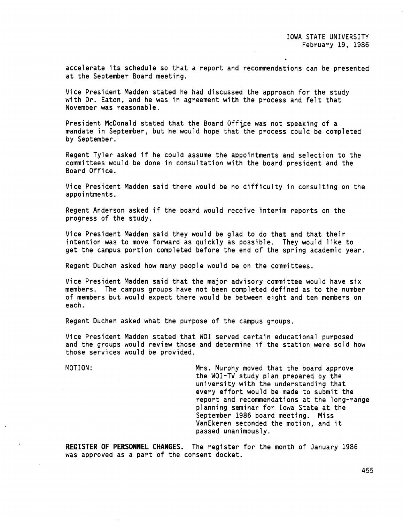accelerate its schedule so that a report and recommendations can be presented at the September Board meeting.

Vice President Madden stated he had discussed the approach for the study with Dr. Eaton, and he was in agreement with the process and felt that November was reasonable.

President McDonald stated that the Board Office was not speaking of a mandate in September, but he would hope that the process could be completed by September.

Regent Tyler asked if he could assume the appointments and selection to the committees would be done in consultation with the board president and the Board Office.

Vice President Madden said there would be no difficulty in consulting on the appointments.

Regent Anderson asked if the board would receive interim reports on the progress of the study.

Vice President Madden said they would be glad to do that and that their intention was to move forward as quickly as possible. They would like to get the campus portion completed before the end of the spring academic year.

Regent Duchen asked how many people would be on the committees.

Vice President Madden said that the major advisory committee would have six members. The campus groups have not been completed defined as to the number of members but would expect there would be between eight and ten members on each.

Regent Duchen asked what the purpose of the campus groups.

Vice President Madden stated that WOI served certain educational purposed and the groups would review those and determine if the station were sold how those services would be provided.

MOTION: Mrs. Murphy moved that the board approve the WOI-TV study plan prepared by the university with the understanding that every effort would be made to submit the report and recommendations at the long-range planning seminar for Iowa State at the September 1986 board meeting. Miss VanEkeren seconded the motion, and it passed unanimously.

**REGISTER OF PERSONNEL CHANGES.** The register for the month of January 1986 was approved as a part of the consent docket.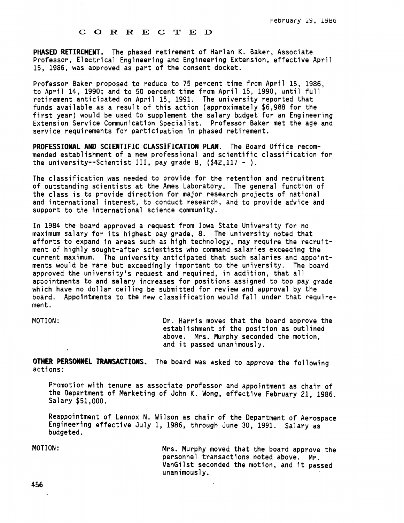#### **C O R R** E C T E D

**PHASED RETIREMENT.** The phased retirement of Harlan K. Baker, Associate Professor, Electrical Engineering and Engineering Extension, effective April 15, 1986, was approved as part of the consent docket.

Professor Baker proposed to reduce to 75 percent time from April 15, 1986, to April 14, 1990; and to 50 percent time from April 15, 1990, until full retirement anticipated on April 15, 1991. The university reported that funds available as a result of this action (approximately \$6,988 for the first year) would be used to supplement the salary budget for an Engineering Extension Service Communication Specialist. Professor Baker met the age and service requirements for participation in phased retirement.

**PROFESSIONAL AND SCIENTIFIC CLASSIFICATION PLAN.** The Board Office recommended establishment of a new professional and scientific classification for the university--Scientist III, pay grade 8,  $(42, 117 - )$ .

The classification was needed to provide for the retention and recruitment of outstanding scientists at the Ames Laboratory. The general function of the class is to provide direction for major research projects of national and international interest, to conduct research, and to provide advice and support to the international science community.

In 1984 the board approved a request from Iowa State University for no maximum salary for its highest pay grade, 8. The university noted that efforts to expand in areas such as high technology, may require the recruitment of highly sought-after scientists who command salaries exceeding the current maximum. The university anticipated that such salaries and appointments would be rare but exceedingly important to the university. The board approved the university's request and required, in addition, that all appointments to and salary increases for positions assigned to top pay grade which have no dollar ceiling be submitted for review and approval by the board. Appointments to the new classification would fall under that requirement.

MOTION: Or. Harris moved that the board approve the establishment of the position as outlined above. Mrs. Murphy seconded the motion,<br>and it passed unanimously.

**OTHER PERSONNEL TRANSACTIONS.** The board was asked to approve the following actions:

Promotion with tenure as associate professor and appointment as chair of the Department of Marketing of John K. Wong, effective February 21, 1986. Salary \$51,000.

Reappointment of Lennox N. Wilson as chair of the Department of Aerospace Engineering effective July 1, 1986, through June 30, 1991. Salary as budgeted.

MOTION: Mrs. Murphy moved that the board approve the personnel transactions noted above. Mr. VanGilst seconded the motion, and it passed unanimously.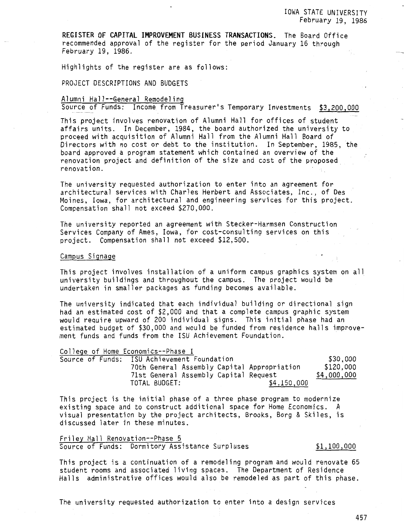**REGISTER OF CAPITAL IMPROVEMENT BUSINESS TRANSACTIONS.** The Board Office recommended approval of the register for the period January 16 through February 19, 1986.

Highlights of the register are as follows:

PROJECT DESCRIPTIONS AND BUDGETS

# Alumni Hall--General Remodeling

Source of Funds: Income from Treasurer's Temporary Investments \$3,200,000

This project involves renovation of Alumni Hall for offices of student affairs units. In December, 1984, the board authorized the university to proceed with acquisition of Alumni Hall from the Alumni Hall Board of Directors with no cost or debt to the institution. In September, 1985, the board approved a program statement which contained an overview of the renovation project and definition of the size and cost of the proposed renovation.

The university requested authorization to enter into an agreement for architectural services with Charles Herbert and Associates, Inc., of Des Moines, Iowa, for architectural and engineering services for this project. Compensation shall not exceed \$270,000.

The university reported an agreement with Stecker-Harmsen Construction Services Company of Ames, Iowa, for cost-consulting services on this project. Compensation shall not exceed \$12,500.

#### Campus Signage

This project involves installation of a uniform campus graphics system on all university buildings and throughout the campus. The project would be undertaken in smaller packages as funding becomes available.

The university indicated that each individual building or directional sign had an estimated cost of \$2,000 and that a complete campus graphic system would require upward of 200 individual signs. This initial phase had an estimated budget of \$30,000 and would be funded from residence halls improvement funds and funds from the ISU Achievement Foundation.

| College of Home Economics--Phase I          |             |
|---------------------------------------------|-------------|
| Source of Funds: ISU Achievement Foundation | \$30,000    |
| 70th General Assembly Capital Appropriation | \$120,000   |
| 71st General Assembly Capital Request       | \$4,000,000 |
| \$4,150,000<br>TOTAL BUDGET:                |             |

This project is the initial phase of a three phase program to modernize existing space and to construct additional space for Home Economics. A visual presentation by the project architects, Brooks, Borg & Skiles, is discussed later in these minutes.

## Friley Hall Renovation--Phase 5 Source of Funds: Dormitory Assistance Surpluses \$1,100,000

This project is a continuation of a remodeling program and would renovate 65 student rooms and associated living spaces. The Department of Residence Halls administrative offices would also be remodeled as part of this phase.

The university requested authorization to enter into a design services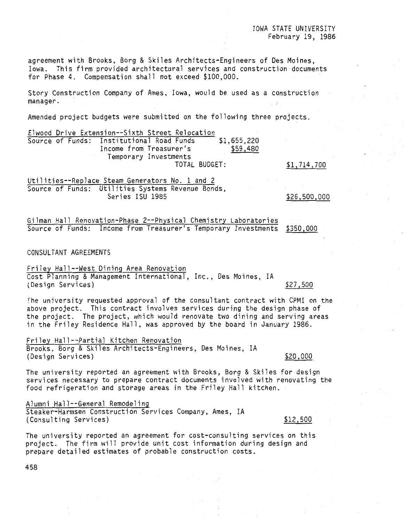agreement with Brooks, Borg & Skiles Architects-Engineers of Des Moines, Iowa. This firm provided architectural services and construction documents for Phase 4. Compensation shall not exceed \$100,000.

Story Construction Company of Ames, Iowa, would be used as a construction manager.

Amended project budgets were submitted on the following three projects.

| Source of Funds: Institutional Road Funds<br>\$1,655,220 |  |
|----------------------------------------------------------|--|
| \$59,480<br>Income from Treasurer's                      |  |
| Temporary Investments                                    |  |
| TOTAL BUDGET:<br>\$1,714,700                             |  |

Utilities--Replace Steam Generators No. 1 and 2 Source of Funds: Utilities Systems Revenue Bonds, Series ISU 1985

\$26,500,000

Gilman Hall Renovation-Phase 2--Physical Chemistry Laboratories Source of Funds: Income from Treasurer's Temporary Investments <u>\$350,000</u>

CONSULTANT AGREEMENTS

Friley Hall--West Dining Area Renovation Cost Planning & Management International, Inc., Des Moines, IA tDesign Services) \$27,500

The university requested approval of the consultant contract with CPMI on the above project. This contract involves services during the design phase of the project. The project, which would renovate two dining and serving areas in the Friley Residence Hall, was approved by the board in January 1986.

Friley Hall--Partial Kitchen Renovation Brooks, Borg & Skiles Architects-Engineers, Des Moines, IA (Design Services)  $$20,000$ 

The university reported an agreement with Brooks, Borg & Skiles for design services necessary to prepare contract documents involved with renovating the food refrigeration and storage areas in the Friley Hall kitchen.

Alumni Hall--General Remodeling Steaker-Harmsen Construction Services Company, Ames, IA (Consulting Services)  $$12,500$ 

The university reported an agreement for cost-consulting services on this project. The firm will provide unit cost information during design and prepare detailed estimates of probable construction costs.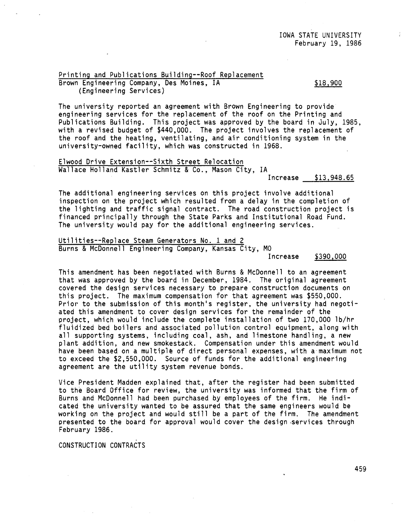# Printing and Publications Building--Roof Replacement Brown Engineering Company, Des Moines, IA (Engineering Services)

\$18,900

The university reported an agreement with Brown Engineering to provide engineering services for the replacement of the roof on the Printing and Publications Building. This project was approved by the board in July, 1985, with a revised budget of \$440,000. The project involves the replacement of the roof and the heating, ventilating, and air conditioning system in the university-owned facility, which was constructed in 1968.

Elwood Drive Extension--Sixth Street Relocation Wallace Holland Kastler Schmitz & Co., Mason City, IA

Increase \$13,948.65

The additional engineering services on this project involve additional inspection on the project which resulted from a delay in the completion of the lighting and traffic signal contract. The road construction project is financed principally through the State Parks and Institutional Road Fund. The university would pay for the additional engineering services.

Utilities--Replace Steam Generators No. 1 and 2 Burns & McDonnell Engineering Company, Kansas City, MO

Increase \$390,000

This amendment has been negotiated with Burns & McDonnell to an agreement that was approved by the board in December, 1984. The original agreement *covered* the design services necessary to prepare construction documents on this project. The maximum compensation for that agreement was \$550,000. Prior to the submission of this month's register, the university had negotiated this amendment to cover design services for the remainder of the project, which would include the complete installation of two 170,000 lb/hr fluidized bed boilers and associated pollution control equipment, along with all supporting systems, including coal, ash, and limestone handling, a new plant addition, and new smokestack. Compensation under this amendment would have been based on a multiple of direct personal expenses, with a maximum not to exceed the \$2,550,000. Source of funds for the additional engineering agreement are the utility system revenue bonds.

Vice President Madden explained that, after the register had been submitted to the Board Office for review, the university was informed that the firm of Burns and McDonnell had been purchased by employees of the firm. He indicated the university wanted to be assured that the same engineers would be working on the project and would still be a part of the firm. The amendment presented to the board for approval would *cover* the design -services through February 1986.

CONSTRUCTION CONTRACTS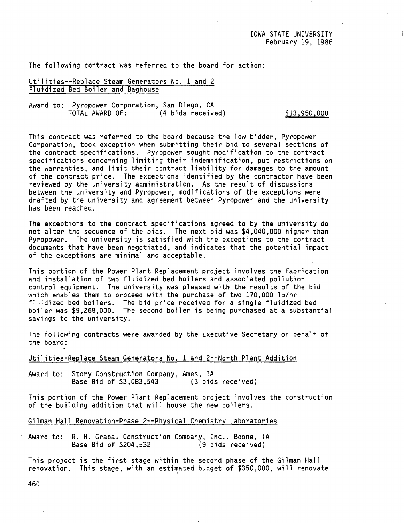The following contract was referred to the board for action:

# Utilities--Replace Steam Generators No. 1 and 2 Fluidized Bed Boiler and Baghouse

Award to: Pyropower Corporation, San Diego, CA (4 bids received) \$13,950,000

This contract was referred to the board because the low bidder, Pyropower Corporation, took exception when submitting their bid to several sections of the contract specifications. Pyropower sought modification to the contract specifications concerning limiting their indemnification, put restrictions on the warranties, and limit their contract liability for damages to the amount of the contract price. The exceptions identified by the contractor have been reviewed by the university administration. As the result of discussions between the university and Pyropower, modifications of the exceptions were drafted by the university and agreement between Pyropower and the university has been reached.

The exceptions to the contract specifications agreed to by the university do not alter the sequence of the bids. The next bid was \$4,040,000 higher than Pyropower. The university is satisfied with the exceptions to the contract documents that have been negotiated, and indicates that the potential impact of the exceptions are minimal and acceptable.

This portion of the Power Plant Replacement project involves the fabrication and installation of two fluidized bed boilers and associated pollution control equipment. The university was pleased with the results of the bid which enables them to proceed with the purchase of two 170,000 lb/hr  $f^{T}$  $\cdots$ idized bed boilers. The bid price received for a single fluidized bed boiler was \$9,268,000. The second boiler is being purchased at a substantial savings to the university.

The following contracts were awarded by the Executive Secretary on behalf of the board:

Utilities-Replace Steam Generators No. 1 and 2--North Plant Addition

Award to: Story Construction Company, Ames, IA<br>Base Bid of \$3,083,543 (3 bids received) Base Bid of \$3,083,543

This portion of the Power Plant Replacement project involves the construction of the building addition that will house the new boilers.

Gilman Hall Renovation-Phase 2--Physical Chemistry Laboratories

Award to: R. H. Grabau Construction Company, Inc., Boone, IA Base Bid of \$204,532 (9 bids received)

This project is the first stage within the second phase of the Gilman Hall renovation. This stage, with an estimated budget of \$350,000, will renovate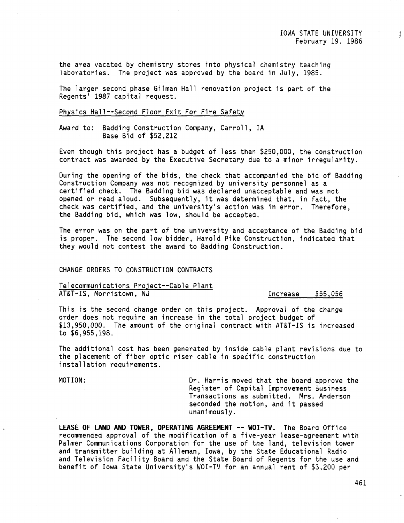$\ddot{\ddot{\cdot}}$ 

the area vacated by chemistry stores into physical chemistry teaching laboratories. The project was approved by the board in July, 1985.

The larger second phase Gilman Hall renovation project is part of the Regents' 1987 capital request.

#### Physics Hall--Second Floor Exit For Fire Safety

Award to: Badding Construction Company, Carroll, IA Base Bid of \$52,212

Even though this project has a budget of less than \$250,000, the construction contract was awarded by the Executive Secretary due to a minor irregularity.

During the opening of the bids, the check that accompanied the bid of Badding Construction Company was not recognized by university personnel as a certified check. The Badding bid was declared unacceptable and was not opened or read aloud. Subsequently, it was determined that, in fact, the check was certified, and the university's action was in error. Therefore, the Badding bid, which was low, should be accepted.

The error was on the part of the university and acceptance of the Badding bid is proper. The second low bidder, Harold Pike Construction, indicated that they would not contest the award to Badding Construction.

# CHANGE ORDERS TO CONSTRUCTION CONTRACTS

Telecommunications Project--Cable Plant AT&T-IS, Morristown, NJ **Increase** \$55,056

This is the second change order on this project. Approval of the change order does not require an increase in the total project budget of \$13,950,000. The amount of the original contract with AT&T-IS is increased to \$6,955,198.

The additional cost has been generated by inside cable plant revisions due to the placement of fiber optic riser cable in specific construction installation requirements.

MOTION: Dr. Harris moved that the board approve the Register of Capital Improvement Business Transactions as submitted. Mrs. Anderson seconded the motion, and it passed unanimously.

LEASE OF LAND AND TOWER, OPERATING AGREEMENT -- WOI-TV. The Board Office recommended approval of the modification of a five-year lease-agreement with Palmer Communications Corporation for the use of the land, television tower and transmitter building at Alleman, Iowa, by the State Educational Radio and Television Facility Board and the State Board of Regents for the use and benefit of Iowa State University's WOI-TV for an annual rent of \$3,200 per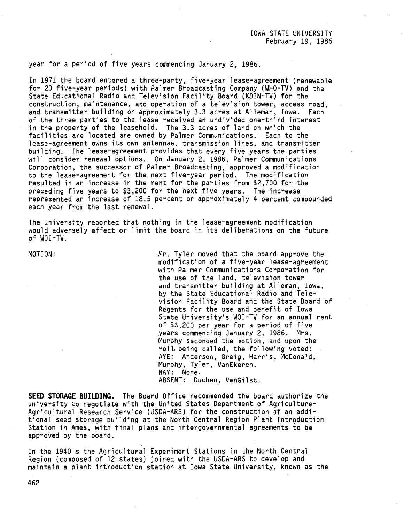#### year for a period of five years commencing January 2, 1986.

In 1971 the board entered a three-party, five-year lease-agreement (renewable for 20 five-year periods) with Palmer Broadcasting Company (WHO-TV) and the State Educational Radio and Television Facility Board (KDIN-TV) for the construction, maintenance, and operation of a television tower, access road, and transmitter building on approximately 3.3 acres at Alleman, Iowa. Each of the three parties to the lease received an undivided one-third interest in the property of the leasehold. The 3.3 acres of land on which the facilities are located are owned by Palmer Communications. Each to the lease-agreement owns its own antennae, transmission lines, and transmitter building. The lease-agreement provides that every five years the parties will consider renewal options. On January 2, 1986, Palmer Communications Corporation, the successor of Palmer Broadcasting, approved a modification to the lease-agreement for the next five-year period. The modification resulted in an increase in the rent for the parties from \$2,700 for the preceding five years to \$3,200 for the next five years. The increase represented an increase of 18.5 percent or approximately 4 percent compounded each year from the last renewal.

The university reported that nothing in the lease-agreement modification would adversely effect or limit the board in its deliberations on the future of WOI-TV.

MOTION: Mr. Tyler moved that the board approve the modification of a five-year lease-agreement with Palmer Communications Corporation for the use of the land, television tower and transmitter building at Alleman, Iowa, by the State Educational Radio and Television Facility Board and the State Board of Regents for the use and benefit of Iowa State University's WOI-TV for an annual rent of \$3,200 per year for a period of five years commencing January 2, 1986. Mrs. Murphy seconded the motion, and upon the roll, being called, the following voted: AYE: Anderson, Greig, Harris, McDonald, Murphy, Tyler, VanEkeren. NAY: None. ABSENT: Duchen, VanGilst.

**SEED STORAGE BUILDING.** The Board Office recommended the board authorize the university to negotiate with the United States Department of Agriculture-Agricultural Research Service (USDA-ARS) for the construction of an additional seed storage building at the North Central Region Plant Introduction Station in Ames, with final plans and intergovernmental agreements to be approved by the board.

In the 1940's the Agricultural Experiment Stations in the North Central Region (composed of 12 states) joined with the USDA-ARS to develop and maintain a plant introduction station at Iowa State University, known as the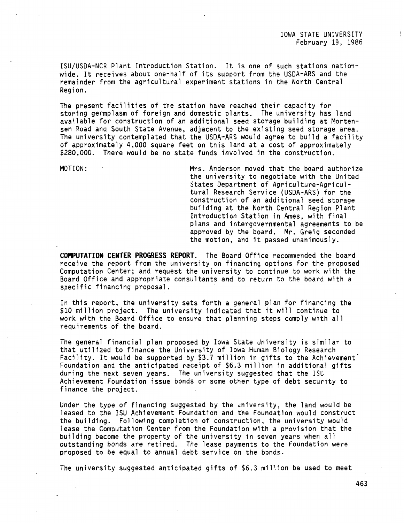IOWA STATE UNIVERSITY February 19, 1986

!SU/USDA-NCR Plant Introduction Station. It is one of such stations nationwide. It receives about one-half of its support from the USDA-ARS and the remainder from the agricultural experiment stations in the North Central Region.

The present facilities of the station have reached their capacity for storing germplasm of foreign and domestic plants. The university has land available for construction of an additional seed storage building at Mortensen Road and South State Avenue, adjacent to the existing seed storage area. The university contemplated that the USDA-ARS would agree to build a facility of approximately 4,000 square feet on this land at a cost of approximately \$280,000. There would be no state funds involved in the construction.

MOTION: Mrs. Anderson moved that the board authorize the university to negotiate with the United States Department of Agriculture-Agricultural Research Service (USDA-ARS) for the construction of an additional seed storage building at the North Central Region Plant Introduction Station in Ames, with final plans and intergovernmental agreements to be approved by the board. Mr. Greig seconded the motion, and it passed unanimously.

**COMPUTATION CENTER PROGRESS REPORT.** The Board Office recommended the board receive the report from the university on financing options for the proposed Computation Center; and request the university to continue to work with the Board Office and appropriate consultants and to return to the board with a specific financing proposal.

In this report, the university sets forth a general plan for financing the \$10 million project. The university indicated that it will continue to work with the Board Office to ensure that planning steps comply with all requirements of the board.

The general financial plan proposed by Iowa State University is similar to that utilized to finance the University of Iowa Human Biology Research Facility. It would be supported by \$3.7 million in gifts to the Achievement<sup>1</sup> Foundation and the anticipated receipt of \$6.3 million in additional gifts during the next seven years. The university suggested that the ISU Achievement Foundation issue bonds or some other type of debt security to finance the project.

Under the type of financing suggested by the university, the land would be leased to the ISU Achievement Foundation and the Foundation would construct the building. Following completion of construction, the university would lease the Computation Center from the Foundation with a provision that the building become the property of the university in seven years when a11 outstanding bonds are retired. The lease payments to the Foundation were proposed to be equal to annual debt service on the bonds.

The university suggested anticipated gifts of \$6.3 million be used to meet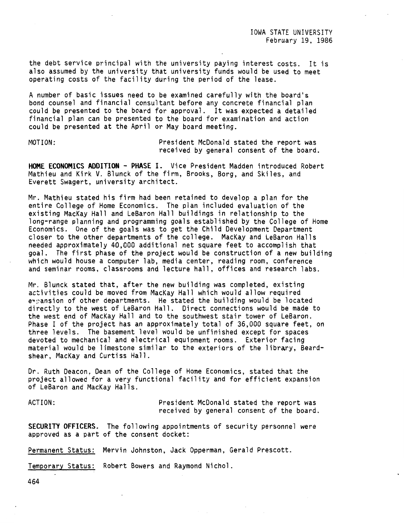the debt service principal with the university paying interest costs. It is also assumed by the university that university funds would be used to meet operating costs of the facility during the period of the lease.

A number of basic issues need to be examined carefully with the board's bond counsel and financial consultant before any concrete financial plan could be presented to the board for approval. It was expected a detailed financial plan can be presented to the board for examination and action could be presented at the April or May board meeting.

MOTION: President McDonald stated the report was received by general consent of the board.

**HOME ECONOMICS ADDITION** - **PHASE** I. Vice President Madden introduced Robert Mathieu and Kirk V. Blunck of the firm, Brooks, Borg, and Skiles, and Everett Swagert, university architect.

Mr. Mathieu stated his firm had been retained to develop a plan for the entire College of Home Economics. The plan included evaluation of the existing MacKay Hall and LeBaron Hall buildings in relationship to the long-range planning and programming goals established by the College of Home Economics. One of the goals was to get the Child Development Department closer to the other departments of the college. MacKay and LeBaron Halls needed approximately 40,000 additional net square feet to accomplish that goal. The first phase of the project would be construction of a new building which would house a computer lab, media center, reading room, conference and seminar rooms, classrooms and lecture hall, offices and research labs.

Mr. Blunck stated that, after the new building was completed, existing activities could be moved from MacKay Hall which would allow required  $e^+$  ansion of other departments. He stated the building would be located directly to the west of LeBaron Hall. Direct connections would be made to the west end of MacKay Hall and to the southwest stair tower of LeBaron. Phase I of the project has an approximately total of 36,000 square feet, on three levels. The basement level would be unfinished except for spaces devoted to mechanical and electrical equipment rooms. Exterior facing material would be limestone similar to the exteriors of the library, Beardshear, MacKay and Curtiss Hall.

Dr. Ruth Deacon, Dean of the College of Home Economics, stated that the project allowed for a very functional facility and for efficient expansion of LeBaron and MacKay Halls.

ACTION: President McDonald stated the report was received by general consent of the board.

**SECURITY OFFICERS.** The following appointments of security personnel were approved as a part of the consent docket:

Permanent Status: Mervin Johnston, Jack Opperman, Gerald Prescott.

Temporary Status: Robert Bowers and Raymond Nichol.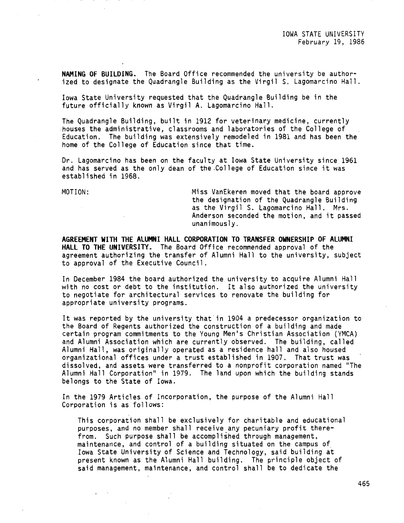**NAMING OF BUILDING.** The Board Office recommended the university be authorized to designate the Quadrangle Building as the Virgil S. Lagomarcino Hall.

Iowa State University requested that the Quadrangle Building be in the future officially known as Virgil A. Lagomarcino Hall.

The Quadrangle Building, built in 1912 for veterinary medicine, currently houses the administrative, classrooms and laboratories of the College of Education. The building was extensively remodeled in 1981 and has been the home of the College of Education since that time.

Dr. Lagomarcino has been on the faculty at Iowa State University since 1961 and has served as the only dean of the.College of Education since it was established in 1968.

 $\mathcal{L}^{\text{max}}$ 

MOTION: Miss VanEkeren moved that the board approve the designation of the Quadrangle Building as the Virgil S. Lagomarcino Hall. Mrs. Anderson seconded the motion, and it passed unanimously.

**AGREEMENT WITH THE ALUMNI HALL CORPORATION TO TRANSFER OWNERSHIP OF ALUMNI HALL TO THE UNIVERSITY.** The Board Office recommended approval of the agreement authorizing the transfer of Alumni Hall to the university, subject to approval of the Executive Council.

In December 1984 the board authorized the university to acquire Alumni Hall with no cost or debt to the institution. It also authorized the university to negotiate for architectural services to renovate the building for appropriate university programs.

It was reported by the university that in 1904 a predecessor organization to the Board of Regents authorized the construction of a building and made certain program commitments to the Young Men's Christian Association (YMCA) and Alumni Association which are currently observed. The building, called Alumni Hall, was originally operated as a residence hall and also housed organizational offices under a trust established in 1907. That trust was dissolved, and assets were transferred to a nonprofit corporation named "The Alumni Hall Corporation" in 1979. The land upon which the building stands belongs to the State of Iowa.

In the 1979 Articles of Incorporation, the purpose of the Alumni Hall Corporation is as follows:

This corporation shall be exclusively for charitable and educational purposes, and no member shall receive any pecuniary profit therefrom. Such purpose shall be accomplished through management, maintenance, and control of a building situated on the campus of Iowa State University of Science and Technology, said building at present known as the Alumni Hall building. The principle object of said management, maintenance, and control shall be to dedicate the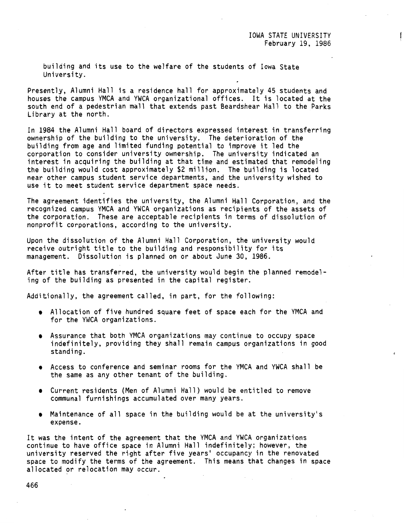building and its use to the welfare of the students of Iowa State University.

Presently, Alumni Hall is a residence hall for approximately 45 students and houses the campus YMCA and YWCA organizational offices. It is located at the south end of a pedestrian mall that extends past Beardshear Hall to the Parks Library at the north.

In 1984 the Alumni Hall board of directors expressed interest in transferring ownership of the building to the university. The deterioration of the building from age and limited funding potential to improve it led the corporation to consider university ownership. The university indicated an interest in acquiring the building at that time and estimated that remodeling the building would cost approximately \$2 million. The building is located near other campus student service departments, and the university wished to use it to meet student service department space needs.

The agreement identifies the university, the Alumni Hall Corporation, and the recognized campus YMCA and YWCA organizations as recipients of the assets of the corporation. These are acceptable recipients in terms of dissolution of nonprofit corporations, according to the university.

Upon the dissolution of the Alumni Hall Corporation, the university would receive outright title to the building and responsibility for its management. Dissolution is planned on or about June 30, 1986.

After title has transferred, the university would begin the planned remodeling of the building as presented in the capital register.

Additionally, the agreement called, in part, for the following:

- Allocation of five hundred square feet of space each for the YMCA and for the YWCA organizations.
- Assurance that both YMCA organizations may continue to occupy space indefinitely, providing they shall remain campus organizations in good standing.
- Access to conference and seminar rooms for the YMCA and YWCA shall be the same as any other tenant of the building.
- Current residents (Men of Alumni Hall) would be entitled to remove communal furnishings accumulated over many years.
- Maintenance of all space in the building would be at the university's expense.

It was the intent of the agreement that the YMCA and YWCA organizations continue to have office space in Alumni Hall indefinitely; however, the university reserved the right after five years' occupancy in the renovated space to modify the terms of the agreement. This means that changes in space allocated or relocation may occur.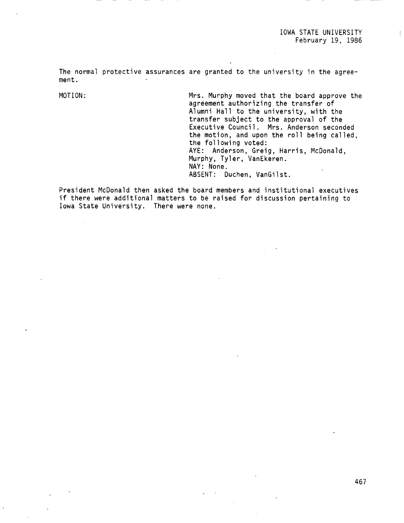The normal protective assurances are granted to the university in the agreement.

MOTION: Mrs. Murphy moved that the board approve the agreement authorizing the transfer of Alumni Hall to the university, with the transfer subject to the approval of the Executive Council. Mrs. Anderson seconded the motion, and upon the roll being called, the following voted: AYE: Anderson, Greig, Harris, McDonald, Murphy, Tyler, VanEkeren. NAY: None. ABSENT: Duchen, VanGilst.

President McDonald then asked the board members and institutional executives if there were additional matters to be raised for discussion pertaining to Iowa State University. There were none.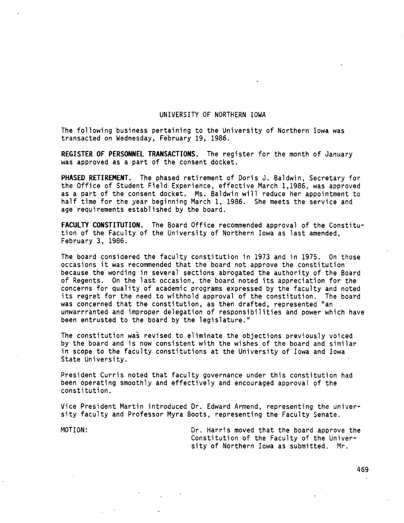## UNIVERSITY OF NORTHERN IOWA

The following business pertaining to the University of Northern Iowa was transacted on Wednesday, February 19, 1986.

**REGISTER OF PERSONNEL TRANSACTIONS.** The register for the month of January was approved as a part of the consent docket.

**PHASED RETIREMENT.** The phased retirement of Doris J. Baldwin, Secretary for the Office of Student Field Experience, effective March 1,1986, was approved as a part of the consent docket. Ms. Baldwin will reduce her appointment to half time for the year beginning March l, 1986. She meets the service and age requirements established by the board.

**FACULTY CONSTITUTION.** The Board Office recommended approval of the Constitution of the Faculty of the University of Northern Iowa as last amended, February 3, 1986.

The board considered the faculty constitution in 1973 and in 1975. On those occasions it was recommended that the board not approve the constitution because the wording in several sections abrogated the authority of the Board of Regents. On the last occasion, the board noted its appreciation for the concerns for quality of academic programs expressed by the faculty and noted its regret for the need to withhold approval of the constitution. The board was concerned that the constitution, as then drafted, represented "an unwarrranted and improper delegation of responsibilities and power which have been entrusted to the board by the legislature."

The constitution was revised to eliminate the objections previously voiced by the board and is now consistent with the wishes of the board and similar in scope to the faculty constitutions at the University of Iowa and Iowa State University.

President Curris noted that faculty governance under this constitution had been operating smoothly and effectively and encouraged approval of the constitution.

Vice President Martin introduced Dr. Edward Armend, representing the university faculty and Professor Myra Boots, representing the Faculty Senate.

MOTION: Dr. Harris moved that the board approve the Constitution of the Faculty of the University of Northern Iowa as submitted. Mr.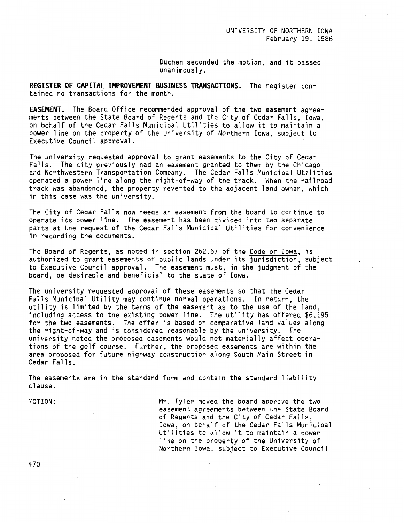Duchen seconded the motion, and it passed unanimously.

**REGISTER OF CAPITAL IMPROVEMENT BUSINESS TRANSACTIONS.** The register contained no transactions for the month.

**EASEMENT.** The Board Office recommended approval of the two easement agreements between the State Board of Regents and the City of Cedar Falls, Iowa, on behalf of the Cedar Falls Municipal Utilities to allow it to maintain a power line on the property of the University of Northern Iowa, subject to Executive Council approval.

The university requested approval to grant easements to the City of Cedar Falls. The city previously had an easement granted to them by the Chicago and Northwestern Transportation Company. The Cedar Falls Municipal Utilities operated a power line along the right-of-way of the track. When the railroad track was abandoned, the property reverted to the adjacent land owner, which in this case was the university.

The City of Cedar Falls now needs an easement from the board to continue to operate its power line. The easement has been divided into two separate parts at the request of the Cedar Falls Municipal Utilities for convenience in recording the documents.

The Board of Regents, as noted in section 262.67 of the Code of Iowa, is authorized to grant easements of public lands under its jurisdiction, subject to Executive Council approval. The easement must, in the judgment of the board, be desirable and beneficial to the state of Iowa.

The university requested approval of these easements so that the Cedar Fa~ls Municipal Utility may continue normal operations. In return, the utility is limited by the terms of the easement as to the use of the land, including access to the existing power line. The utility has offered \$6,195 for the two easements. The offer is based on comparative land values along the right-of-way and is considered reasonable by the university. The university noted the proposed easements would not materially affect operations of the golf course. Further, the proposed easements are within the area proposed for future highway construction along South Main Street in Cedar Falls.

The easements are in the standard form and contain the standard liability clause.

MOTION:

Mr. Tyler moved the board approve the two easement agreements between the State Board of Regents and the City of Cedar Falls, Iowa, on behalf of the Cedar Falls Municipal Utilities to allow it to maintain a power line on the property of the University of Northern Iowa, subject to Executive Council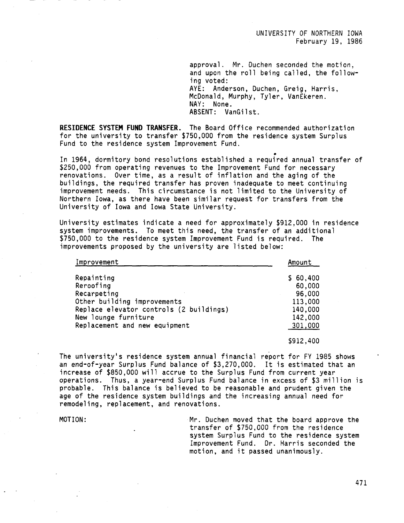UNIVERSITY OF NORTHERN IOWA February 19, 1986

approval. Mr. Duchen seconded the motion, and upon the roll being called, the following voted: AYE: Anderson, Duchen, Greig, Harris, McDonald, Murphy, Tyler, VanEkeren. NAY: None. ABSENT: VanGilst.

**RESIDENCE SYSTEM FUND TRANSFER.** The Board Office recommended authorization for the university to transfer \$750,000 from the residence system Surplus Fund to the residence system Improvement Fund.

In 1964, dormitory bond resolutions established a required annual transfer of \$250,000 from operating revenues to the Improvement Fund for necessary renovations. Over time, as a result of inflation and the aging of the buildings, the required transfer has proven inadequate to meet continuing improvement needs. This circumstance is not limited to the University of Northern Iowa, as there have been similar request for transfers from the University of Iowa and Iowa State University.

University estimates indicate a need for approximately \$912,000 in residence system improvements. To meet this need, the transfer of an additional \$750,000 to the residence system Improvement Fund is required. The improvements proposed by the university are listed below:

| Improvement                             | Amount   |
|-----------------------------------------|----------|
| Repainting                              | \$60,400 |
| Reroofing                               | 60,000   |
| Recarpeting                             | 96,000   |
| Other building improvements             | 113,000  |
| Replace elevator controls (2 buildings) | 140,000  |
| New lounge furniture                    | 142,000  |
| Replacement and new equipment           | 301,000  |

\$912,400

The university's residence system annual financial report for FY 1985 shows an end-of-year Surplus Fund balance of \$3,270,000. It is estimated that an increase of \$850,000 will accrue to the Surplus Fund from current year operations. Thus, a year-end Surplus Fund balance in excess of \$3 million is probable. This balance is believed to be reasonable and prudent given the age of the residence system buildings and the increasing annual need for remodeling, replacement, and renovations.

MOTION: Mr. Duchen moved that the board approve the transfer of \$750,000 from the residence system Surplus Fund to the residence system Improvement Fund. Dr. Harris seconded the motion, and it passed unanimously.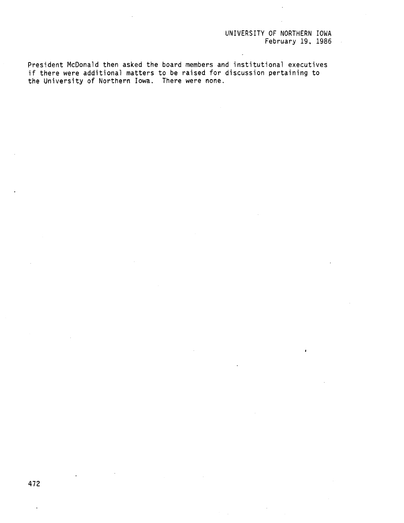# UNIVERSITY OF NORTHERN IOWA February 19, 1986

 $\sim$   $\alpha$ 

President McDonald then asked the board members and institutional executives if there were additional matters to be raised for discussion pertaining to the University of Northern Iowa. There were none.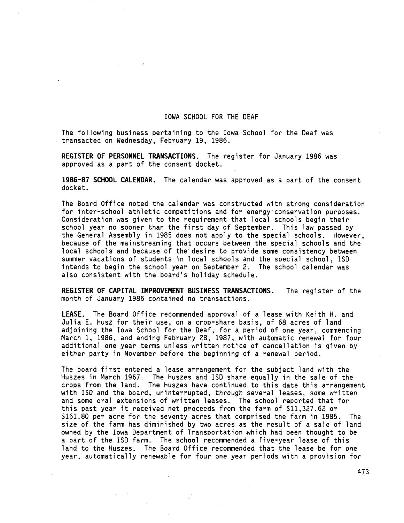#### IOWA SCHOOL FOR THE DEAF

The following business pertaining to the Iowa School for the Deaf was transacted on Wednesday, February 19, 1986.

**REGISTER OF PERSONNEL TRANSACTIONS.** The register for January 1986 was approved as a part of the consent docket.

**1986-87 SCHOOL CALENDAR.** The calendar was approved as a part of the consent docket.

The Board Office noted the calendar was constructed with strong consideration for inter-school athletic competitions and for energy conservation purposes. Consideration was given to the requirement that local schools begin their school year no sooner than the first day of September. This law passed by the General Assembly in 1985 does not apply to the special schools. However, because of the mainstreaming that occurs between the special schools and the local schools and because of the desire to provide some consistency between summer vacations of students in local schools and the special school, ISO intends to begin the school year on September 2. The school calendar was also consistent with the board's holiday schedule.

**REGISTER OF CAPITAL IMPROVEMENT BUSINESS TRANSACTIONS.** The register of the month of January 1986 contained no transactions.

**LEASE.** The Board Office recommended approval of a lease with Keith H. and Julia E. Husz for their use, on a crop-share basis, of 68 acres of land adjoining the Iowa School for the Deaf, for a period of one year, commencing March 1, 1986, and ending February 28, 1987, with automatic renewal for four additional one year terms unless written notice of cancellation is given by either party in November before the beginning of a renewal period.

The board first entered a lease arrangement for the subject land with the Huszes in March 1967. The Huszes and ISO share equally in the sale of the crops from the land. The Huszes have continued to this date this arrangement with ISO and the board, uninterrupted, through several leases, some written and some oral extensions of written leases. The school reported that for this past year it received net proceeds from the farm of \$11,327.62 or \$161.80 per acre for the seventy acres that comprised the farm in 1985. The size of the farm has diminished by two acres as the result of a sale of land owned by the Iowa Department of Transportation .which had been thought to be a part of the ISO farm. The school recommended a five-year lease of this land to the Huszes. The Board Office recommended that the lease be for one year, automatically renewable for four one year periods with a provision for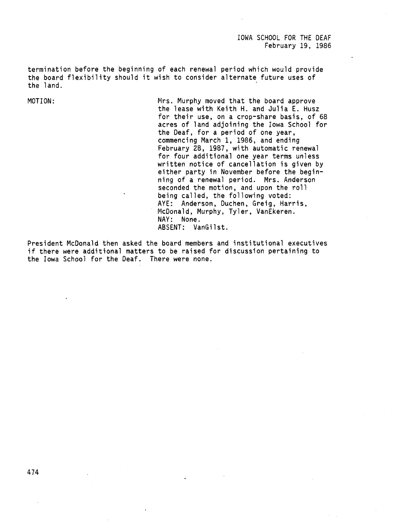IOWA SCHOOL FOR THE DEAF February 19, 1986

termination before the beginning of each renewal period which would provide the board flexibility should it wish to consider alternate future uses of the land.

MOTION: Mrs. Murphy moved that the board approve the lease with Keith H. and Julia E. Husz for their use, on a crop-share basis, of 68 acres of land adjoining the Iowa School for the Deaf, for a period of one year, commencing March 1, 1986, and ending February 28, 1987, with automatic renewal for four additional one year terms unless written notice of cancellation is given by either party in November before the beginning of a renewal period. Mrs. Anderson seconded the motion, and upon the roll being called, the following voted: AYE: Anderson, Duchen, Greig, Harris, McDonald, Murphy, Tyler, VanEkeren. NAY: None. ABSENT: VanGilst.

President McDonald then asked the board members and institutional executives if there were additional matters to be raised for discussion pertaining to the Iowa School for the Deaf. There were none.